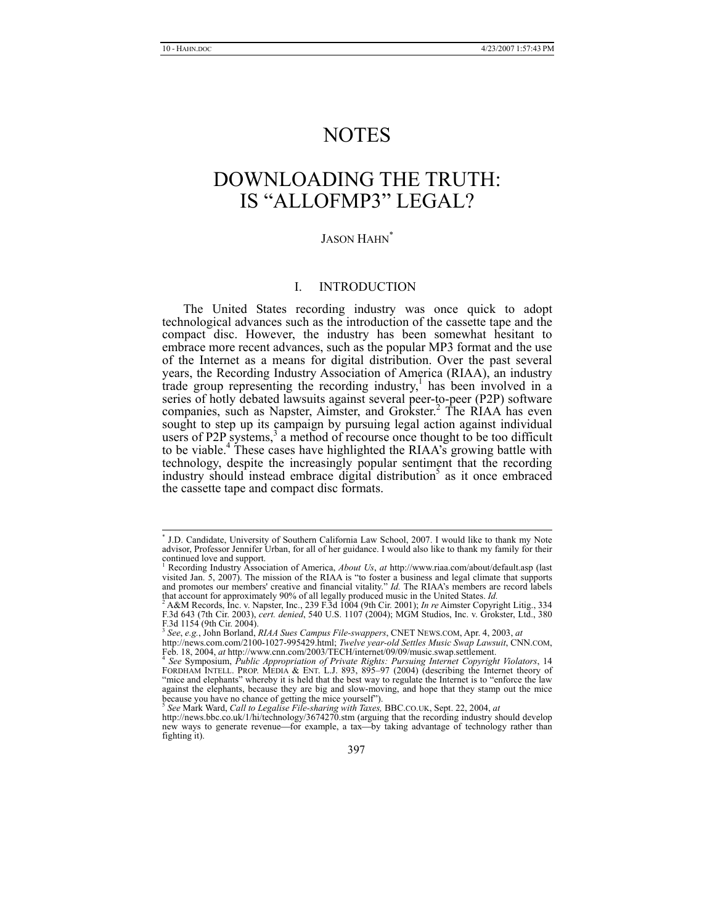# NOTES

# DOWNLOADING THE TRUTH: IS "ALLOFMP3" LEGAL?

# JASON HAHN<sup>\*</sup>

#### I. INTRODUCTION

The United States recording industry was once quick to adopt technological advances such as the introduction of the cassette tape and the compact disc. However, the industry has been somewhat hesitant to embrace more recent advances, such as the popular MP3 format and the use of the Internet as a means for digital distribution. Over the past several years, the Recording Industry Association of America (RIAA), an industry trade group representing the recording industry,<sup>1</sup> has been involved in a series of hotly debated lawsuits against several peer-to-peer (P2P) software companies, such as Napster, Aimster, and Grokster.<sup>2</sup> The RIAA has even sought to step up its campaign by pursuing legal action against individual users of P2P systems, $3$  a method of recourse once thought to be too difficult to be viable.<sup>4</sup> These cases have highlighted the RIAA's growing battle with technology, despite the increasingly popular sentiment that the recording industry should instead embrace digital distribution<sup>5</sup> as it once embraced the cassette tape and compact disc formats.

 <sup>\*</sup> \* J.D. Candidate, University of Southern California Law School, 2007. I would like to thank my Note advisor, Professor Jennifer Urban, for all of her guidance. I would also like to thank my family for their continued love and support.

<sup>&</sup>lt;sup>1</sup> Recording Industry Association of America, *About Us*, *at* http://www.riaa.com/about/default.asp (last visited Jan. 5, 2007). The mission of the RIAA is "to foster a business and legal climate that supports and promotes our members' creative and financial vitality." *Id.* The RIAA's members are record labels that account for approximately 90% of all legally produced music in the United States. *Id.* 2 A&M Records, Inc. v. Napster, Inc., 239 F.3d 1004 (9th Cir. 2001); *In re* Aimster Copyright Litig., 334

F.3d 643 (7th Cir. 2003), *cert. denied*, 540 U.S. 1107 (2004); MGM Studios, Inc. v. Grokster, Ltd., 380 F.3d 1154 (9th Cir. 2004). <sup>3</sup> *See*, *e.g.*, John Borland, *RIAA Sues Campus File-swappers*, CNET NEWS.COM, Apr. 4, 2003, *at*

http://news.com.com/2100-1027-995429.html; Twelve year-old Settles Music Swap Lawsuit, CNN.COM, Feb. 18, 2004, at http://www.cnn.com/2003/TECH/internet/09/09/music.swap.settlement.<br><sup>4</sup> See Symposium, *Public Appropriation* 

FORDHAM INTELL. PROP. MEDIA & ENT. L.J. 893, 895–97 (2004) (describing the Internet theory of "mice and elephants" whereby it is held that the best way to regulate the Internet is to "enforce the law against the elephants, because they are big and slow-moving, and hope that they stamp out the mice because you have no chance of getting the mice yourself"). because you have no chance of getting the mice yourself").<br><sup>5</sup> See Mark Ward, Call to Legalise File-sharing with Taxes, BBC.CO.UK, Sept. 22, 2004, at<br>http://news.bbc.co.uk/1/hi/technology/3674270.stm (arguing that the reco

new ways to generate revenue—for example, a tax—by taking advantage of technology rather than fighting it).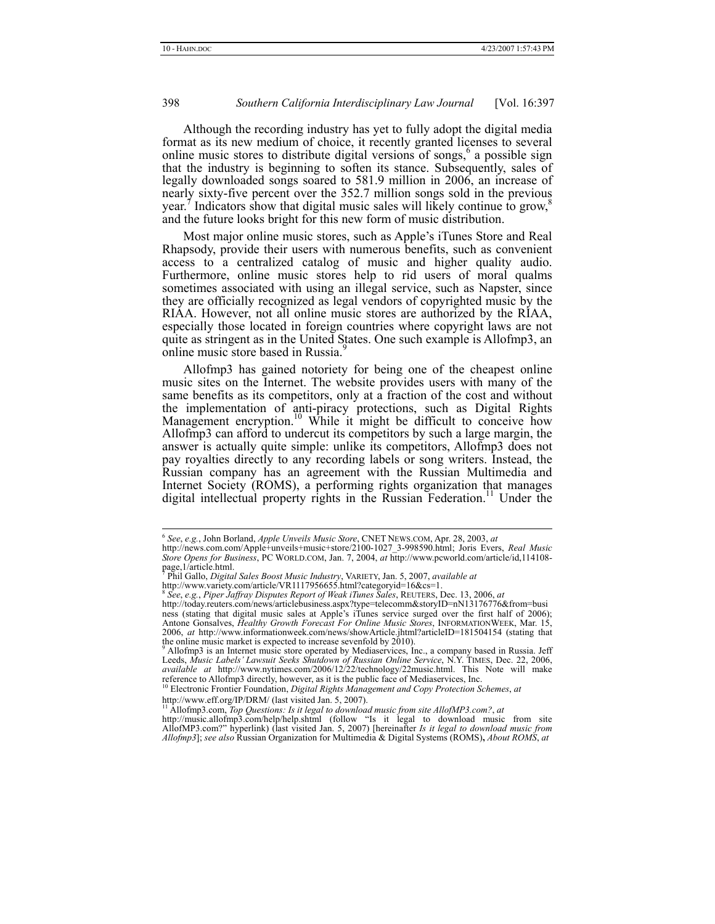Although the recording industry has yet to fully adopt the digital media format as its new medium of choice, it recently granted licenses to several online music stores to distribute digital versions of songs,  $6$  a possible sign that the industry is beginning to soften its stance. Subsequently, sales of legally downloaded songs soared to 581.9 million in 2006, an increase of nearly sixty-five percent over the 352.7 million songs sold in the previous year.<sup>7</sup> Indicators show that digital music sales will likely continue to grow, $\frac{8}{3}$ and the future looks bright for this new form of music distribution.

Most major online music stores, such as Apple's iTunes Store and Real Rhapsody, provide their users with numerous benefits, such as convenient access to a centralized catalog of music and higher quality audio. Furthermore, online music stores help to rid users of moral qualms sometimes associated with using an illegal service, such as Napster, since they are officially recognized as legal vendors of copyrighted music by the RIAA. However, not all online music stores are authorized by the RIAA, especially those located in foreign countries where copyright laws are not quite as stringent as in the United States. One such example is Allofmp3, an online music store based in Russia.<sup>9</sup>

Allofmp3 has gained notoriety for being one of the cheapest online music sites on the Internet. The website provides users with many of the same benefits as its competitors, only at a fraction of the cost and without the implementation of anti-piracy protections, such as Digital Rights Management encryption.<sup>10</sup> While it might be difficult to conceive how Allofmp3 can afford to undercut its competitors by such a large margin, the answer is actually quite simple: unlike its competitors, Allofmp3 does not pay royalties directly to any recording labels or song writers. Instead, the Russian company has an agreement with the Russian Multimedia and Internet Society (ROMS), a performing rights organization that manages digital intellectual property rights in the Russian Federation.<sup>11</sup> Under the

 <sup>6</sup> *See*, *e.g.*, John Borland, *Apple Unveils Music Store*, CNET NEWS.COM, Apr. 28, 2003, *at* 

http://news.com.com/Apple+unveils+music+store/2100-1027\_3-998590.html; Joris Evers, *Real Music Store Opens for Business*, PC WORLD.COM, Jan. 7, 2004, *at* http://www.pcworld.com/article/id,114108 page,1/article.html. 7 Phil Gallo, *Digital Sales Boost Music Industry*, VARIETY, Jan. 5, 2007, *available at* 

http://www.variety.com/article/VR1117956655.html?categoryid=16&cs=1. 8 *See*, *e.g.*, *Piper Jaffray Disputes Report of Weak iTunes Sales*, REUTERS, Dec. 13, 2006, *at* 

http://today.reuters.com/news/articlebusiness.aspx?type=telecomm&storyID=nN13176776&from=busi ness (stating that digital music sales at Apple's iTunes service surged over the first half of 2006); Antone Gonsalves, *Healthy Growth Forecast For Online Music Stores*, INFORMATIONWEEK, Mar. 15, 2006, *at* http://www.informationweek.com/news/showArticle.jhtml?articleID=181504154 (stating that

the online music market is expected to increase sevenfold by 2010).<br><sup>9</sup> Allofmp3 is an Internet music store operated by Mediaservices, Inc., a company based in Russia. Jeff Leeds, *Music Labels' Lawsuit Seeks Shutdown of Russian Online Service*, N.Y. TIMES, Dec. 22, 2006, *available at* http://www.nytimes.com/2006/12/22/technology/22music.html. This Note will make reference to Allofmp3 directly, however, as it is the public face of Mediaservices, Inc. <sup>10</sup> Electronic Frontier Foundation, *Digital Rights Management and Copy Protection Schemes*, *at* http://www.eff.org/IP/DRM/ (last v

http://www.eff.org/IP/DRM/ (last visited Jan. 5, 2007).<br><sup>11</sup> Allofmp3.com, *Top Questions: Is it legal to download music from site AllofMP3.com?, at*<br>http://music.allofmp3.com/help/help.shtml (follow "Is it legal to downlo

AllofMP3.com?" hyperlink) (last visited Jan. 5, 2007) [hereinafter *Is it legal to download music from Allofmp3*]; *see also* Russian Organization for Multimedia & Digital Systems (ROMS)**,** *About ROMS*, *at*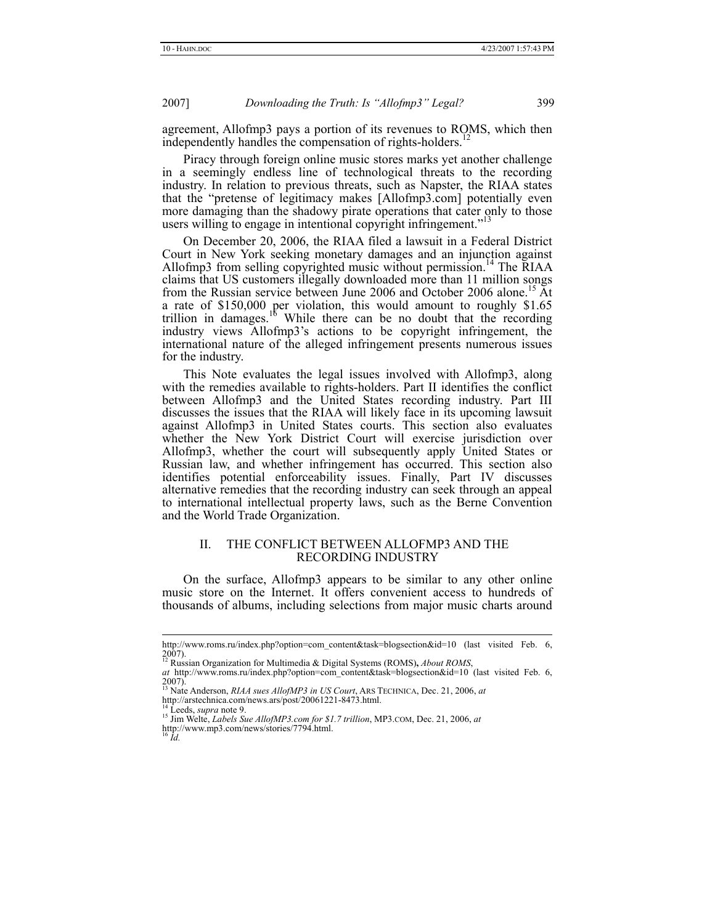agreement, Allofmp3 pays a portion of its revenues to ROMS, which then independently handles the compensation of rights-holders.<sup>1</sup>

Piracy through foreign online music stores marks yet another challenge in a seemingly endless line of technological threats to the recording industry. In relation to previous threats, such as Napster, the RIAA states that the "pretense of legitimacy makes [Allofmp3.com] potentially even more damaging than the shadowy pirate operations that cater only to those users willing to engage in intentional copyright infringement."

On December 20, 2006, the RIAA filed a lawsuit in a Federal District Court in New York seeking monetary damages and an injunction against Allofmp3 from selling copyrighted music without permission.<sup>14</sup> The RIAA claims that US customers illegally downloaded more than 11 million songs from the Russian service between June 2006 and October 2006 alone.15 At a rate of \$150,000 per violation, this would amount to roughly \$1.65 trillion in damages.<sup>16</sup> While there can be no doubt that the recording industry views Allofmp3's actions to be copyright infringement, the international nature of the alleged infringement presents numerous issues for the industry.

This Note evaluates the legal issues involved with Allofmp3, along with the remedies available to rights-holders. Part II identifies the conflict between Allofmp3 and the United States recording industry. Part III discusses the issues that the RIAA will likely face in its upcoming lawsuit against Allofmp3 in United States courts. This section also evaluates whether the New York District Court will exercise jurisdiction over Allofmp3, whether the court will subsequently apply United States or Russian law, and whether infringement has occurred. This section also identifies potential enforceability issues. Finally, Part IV discusses alternative remedies that the recording industry can seek through an appeal to international intellectual property laws, such as the Berne Convention and the World Trade Organization.

#### II. THE CONFLICT BETWEEN ALLOFMP3 AND THE RECORDING INDUSTRY

On the surface, Allofmp3 appears to be similar to any other online music store on the Internet. It offers convenient access to hundreds of thousands of albums, including selections from major music charts around

http://www.roms.ru/index.php?option=com\_content&task=blogsection&id=10 (last visited Feb. 6, 2007). 12 Russian Organization for Multimedia & Digital Systems (ROMS)**,** *About ROMS*,

*at* http://www.roms.ru/index.php?option=com\_content&task=blogsection&id=10 (last visited Feb. 6, 2007). 13 Nate Anderson, *RIAA sues AllofMP3 in US Court*, ARS TECHNICA, Dec. 21, 2006, *at*

http://arstechnica.com/news.ars/post/20061221-8473.html.

<sup>&</sup>lt;sup>14</sup> Leeds, *supra* note 9.<br><sup>15</sup> Jim Welte, *Labels Sue AllofMP3.com for \$1.7 trillion*, MP3.com, Dec. 21, 2006, *at* http://www.mp3.com/news/stories/7794.html. <sup>16</sup> *Id.*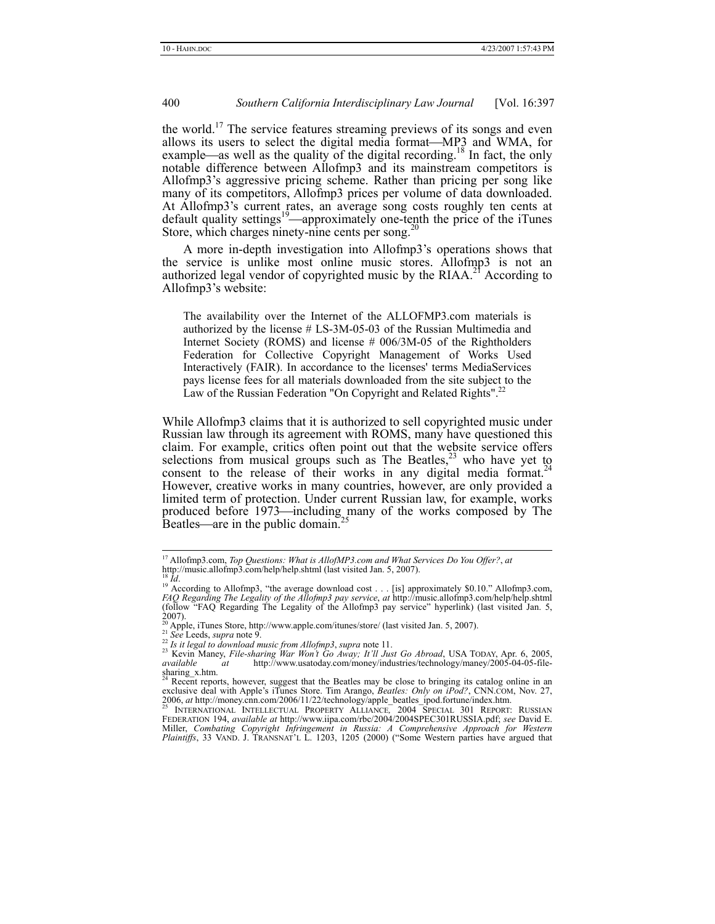the world.<sup>17</sup> The service features streaming previews of its songs and even allows its users to select the digital media format—MP3 and WMA, for example—as well as the quality of the digital recording.<sup>18</sup> In fact, the only notable difference between Allofmp3 and its mainstream competitors is Allofmp3's aggressive pricing scheme. Rather than pricing per song like many of its competitors, Allofmp3 prices per volume of data downloaded. At Allofmp3's current rates, an average song costs roughly ten cents at default quality settings<sup>19</sup>—approximately one-tenth the price of the iTunes Store, which charges ninety-nine cents per song. $^{20}$ 

A more in-depth investigation into Allofmp3's operations shows that the service is unlike most online music stores. Allofmp3 is not an authorized legal vendor of copyrighted music by the RIAA.<sup>21</sup> According to Allofmp3's website:

The availability over the Internet of the ALLOFMP3.com materials is authorized by the license # LS-3М-05-03 of the Russian Multimedia and Internet Society (ROMS) and license # 006/3M-05 of the Rightholders Federation for Collective Copyright Management of Works Used Interactively (FAIR). In accordance to the licenses' terms MediaServices pays license fees for all materials downloaded from the site subject to the Law of the Russian Federation "On Copyright and Related Rights".<sup>22</sup>

While Allofmp3 claims that it is authorized to sell copyrighted music under Russian law through its agreement with ROMS, many have questioned this claim. For example, critics often point out that the website service offers selections from musical groups such as The Beatles, $23$  who have yet to consent to the release of their works in any digital media format.<sup>24</sup> However, creative works in many countries, however, are only provided a limited term of protection. Under current Russian law, for example, works produced before 1973—including many of the works composed by The Beatles—are in the public domain.<sup>2</sup>

<sup>&</sup>lt;sup>17</sup> Allofmp3.com, *Top Questions: What is AllofMP3.com and What Services Do You Offer?*, *at* http://music.allofmp3.com/help/help.shtml (last visited Jan. 5, 2007).<br><sup>18</sup> *Id.* 

<sup>&</sup>lt;sup>19</sup> According to Allofmp3, "the average download cost . . . [is] approximately \$0.10." Allofmp3.com, *FAQ Regarding The Legality of the Allofmp3 pay service*, *at* http://music.allofmp3.com/help/help.shtml (follow "FAQ Regarding The Legality of the Allofmp3 pay service" hyperlink) (last visited Jan. 5,  $2007$ ).

<sup>&</sup>lt;sup>20</sup> Apple, iTunes Store, http://www.apple.com/itunes/store/ (last visited Jan. 5, 2007).<br><sup>21</sup> See Leeds, *supra* note 9.<br><sup>22</sup> Is it legal to download music from Allofmp3, *supra* note 11.

<sup>&</sup>lt;sup>23</sup> *Bi* to *all the sharing War Won't Go Away; It'll Just Go Abroad*, USA TODAY, Apr. 6, 2005, available at http://www.usatoday.com/money/industries/technology/maney/2005-04-05-filesharing\_x.htm.

<sup>&</sup>lt;sup>24</sup> Recent reports, however, suggest that the Beatles may be close to bringing its catalog online in an exclusive deal with Apple's iTunes Store. Tim Arango, *Beatles: Only on iPod?*, CNN.COM, Nov. 27,

<sup>2006,</sup> *at* http://money.cnn.com/2006/11/22/technology/apple\_beatles\_ipod.fortune/index.htm.<br><sup>25</sup> INTERNATIONAL INTELLECTUAL PROPERTY ALLIANCE, 2004 SPECIAL 301 REPORT: RUSSIAN<br>FEDERATION 194, *available at* http://www.iipa Miller, *Combating Copyright Infringement in Russia: A Comprehensive Approach for Western Plaintiffs*, 33 VAND. J. TRANSNAT'L L. 1203, 1205 (2000) ("Some Western parties have argued that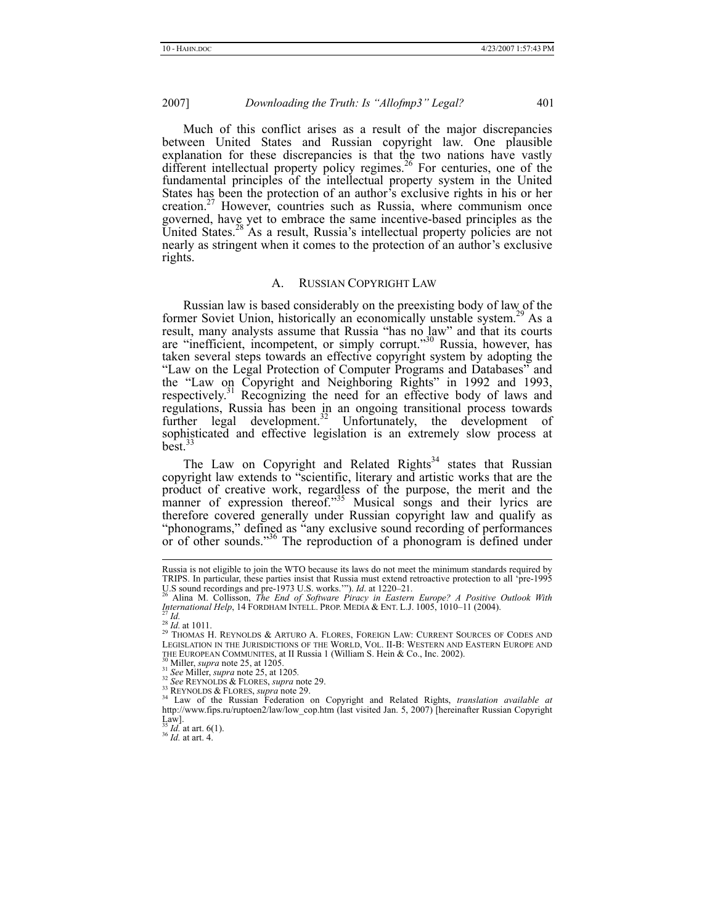Much of this conflict arises as a result of the major discrepancies between United States and Russian copyright law. One plausible explanation for these discrepancies is that the two nations have vastly different intellectual property policy regimes.<sup>26</sup> For centuries, one of the fundamental principles of the intellectual property system in the United States has been the protection of an author's exclusive rights in his or her creation.<sup>27</sup> However, countries such as Russia, where communism once governed, have yet to embrace the same incentive-based principles as the United States.<sup>28</sup> As a result, Russia's intellectual property policies are not nearly as stringent when it comes to the protection of an author's exclusive rights.

#### A. RUSSIAN COPYRIGHT LAW

Russian law is based considerably on the preexisting body of law of the former Soviet Union, historically an economically unstable system.<sup>29</sup> As a result, many analysts assume that Russia "has no law" and that its courts are "inefficient, incompetent, or simply corrupt."30 Russia, however, has taken several steps towards an effective copyright system by adopting the "Law on the Legal Protection of Computer Programs and Databases" and the "Law on Copyright and Neighboring Rights" in 1992 and 1993, respectively.<sup>31</sup> Recognizing the need for an effective body of laws and regulations, Russia has been in an ongoing transitional process towards further legal development.<sup>32</sup> Unfortunately, the development of sophisticated and effective legislation is an extremely slow process at  $be$ st.<sup>3</sup>

The Law on Copyright and Related Rights<sup>34</sup> states that Russian copyright law extends to "scientific, literary and artistic works that are the product of creative work, regardless of the purpose, the merit and the manner of expression thereof."<sup>35</sup> Musical songs and their lyrics are therefore covered generally under Russian copyright law and qualify as "phonograms," defined as "any exclusive sound recording of performances or of other sounds."36 The reproduction of a phonogram is defined under

Russia is not eligible to join the WTO because its laws do not meet the minimum standards required by TRIPS. In particular, these parties insist that Russia must extend retroactive protection to all 'pre-1995  $\frac{1}{2}$ . S sound recordings and pre-1973 U.S. works."). *Id.* at 1220–21.

U.S sound recordings and pre-1973 U.S. works.'"). *Id*. at 1220–21. 26 Alina M. Collisson, *The End of Software Piracy in Eastern Europe? A Positive Outlook With International Help*, 14 FORDHAM INTELL. PROP. MEDIA & ENT. L.J. 1005, 1010–11 (2004).<br><sup>27</sup> *Id.*<br><sup>28</sup> *Id.* at 1011. 28 *IA. REYNOLDS & ARTURO A. FLORES, FOREIGN LAW: CURRENT SOURCES OF CODES AND* 

<sup>&</sup>lt;sup>29</sup> THOMAS H. REYNOLDS & ARTURO A. FLORES, FOREIGN LAW: CURRENT SOURCES OF CODES AND LEGISLATION IN THE JURISDICTIONS OF THE WORLD, VOL. II-B: WESTERN AND EASTERN EUROPE AND THE EUROPEAN COMMUNITES, at II Russia 1 (Willia

<sup>&</sup>lt;sup>30</sup> Miller, *supra* note 25, at 1205.<br><sup>31</sup> See Miller, *supra* note 25, at 1205.<br><sup>32</sup> See REYNOLDS & FLORES, *supra* note 29.<br><sup>33</sup> REYNOLDS & FLORES, *supra* note 29.<br><sup>34</sup> Law of the Russian Federation on Copyright and R http://www.fips.ru/ruptoen2/law/low\_cop.htm (last visited Jan. 5, 2007) [hereinafter Russian Copyright Law].<br> $^{35}$  *Id.* at art. 6(1).

<sup>&</sup>lt;sup>36</sup> *Id.* at art. 4.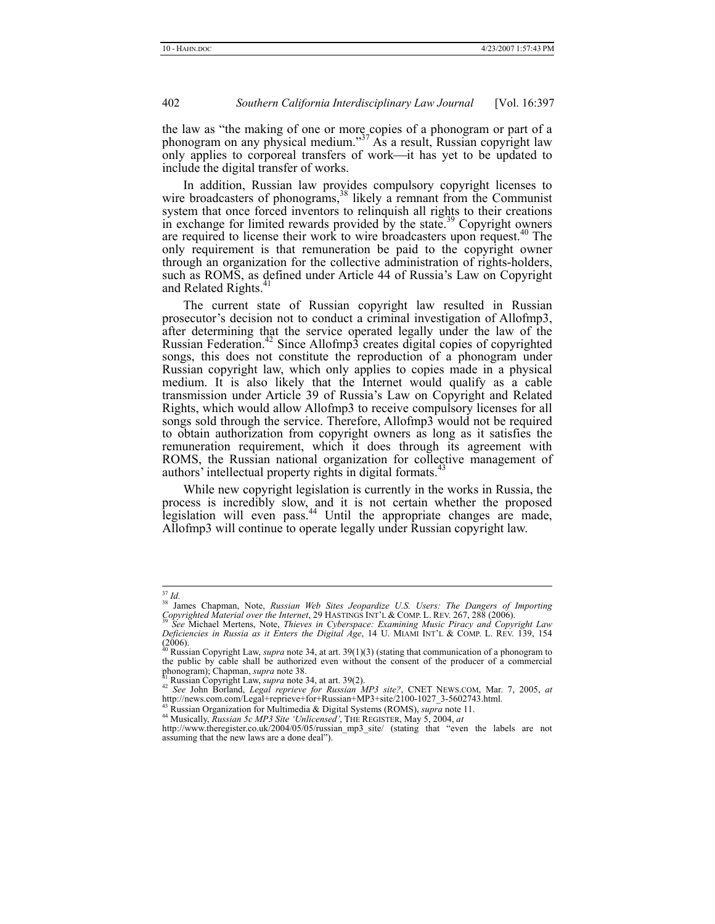the law as "the making of one or more copies of a phonogram or part of a phonogram on any physical medium."37 As a result, Russian copyright law only applies to corporeal transfers of work—it has yet to be updated to include the digital transfer of works.

In addition, Russian law provides compulsory copyright licenses to wire broadcasters of phonograms,<sup>38</sup> likely a remnant from the Communist system that once forced inventors to relinquish all rights to their creations in exchange for limited rewards provided by the state.<sup>39</sup> Copyright owners are required to license their work to wire broadcasters upon request.<sup>40</sup> The only requirement is that remuneration be paid to the copyright owner through an organization for the collective administration of rights-holders, such as ROMS, as defined under Article 44 of Russia's Law on Copyright and Related Rights.<sup>41</sup>

The current state of Russian copyright law resulted in Russian prosecutor's decision not to conduct a criminal investigation of Allofmp3, after determining that the service operated legally under the law of the Russian Federation.42 Since Allofmp3 creates digital copies of copyrighted songs, this does not constitute the reproduction of a phonogram under Russian copyright law, which only applies to copies made in a physical medium. It is also likely that the Internet would qualify as a cable transmission under Article 39 of Russia's Law on Copyright and Related Rights, which would allow Allofmp3 to receive compulsory licenses for all songs sold through the service. Therefore, Allofmp3 would not be required to obtain authorization from copyright owners as long as it satisfies the remuneration requirement, which it does through its agreement with ROMS, the Russian national organization for collective management of authors' intellectual property rights in digital formats.<sup>43</sup>

While new copyright legislation is currently in the works in Russia, the process is incredibly slow, and it is not certain whether the proposed legislation will even pass.<sup>44</sup> Until the appropriate changes are made, Allofmp3 will continue to operate legally under Russian copyright law.

<sup>&</sup>lt;sup>37</sup> *Id.*<br><sup>38</sup> James Chapman, Note, *Russian Web Sites Jeopardize U.S. Users: The Dangers of Importing Copyrighted Material over the Internet*, 29 HASTINGS INT'L & COMP. L. REV. 267, 288 (2006). 39 *See* Michael Mertens, Note, *Thieves in Cyberspace: Examining Music Piracy and Copyright Law* 

*Deficiencies in Russia as it Enters the Digital Age*, 14 U. MIAMI INT'L & COMP. L. REV. 139, 154 (2006). 40 Russian Copyright Law, *supra* note 34, at art. 39(1)(3) (stating that communication of a phonogram to

the public by cable shall be authorized even without the consent of the producer of a commercial phonogram); Chapman, *supra* note 38. phonogram); Chapman, *supra* note 38.<br><sup>41</sup> Russian Copyright Law, *supra* note 34, at art. 39(2).<br><sup>42</sup> *See John Borland, <i>Legal reprieve for Russian MP3 site?*, CNET NEWS.COM, Mar. 7, 2005, *at* 

http://news.com.com/Legal+reprieve+for+Russian+MP3+site/2100-1027\_3-5602743.html.<br><sup>43</sup> Russian Organization for Multimedia & Digital Systems (ROMS), *supra* note 11.<br><sup>44</sup> Musically, *Russian 5c MP3 Site 'Unlicensed'*, THE

<sup>&</sup>lt;sup>44</sup> Musically, *Russian 5c MP3 Site 'Unlicensed'*, THE REGISTER, May 5, 2004, *at* http://www.theregister.co.uk/2004/05/05/russian\_mp3\_site/ (stating that "even the labels are not assuming that the new laws are a done deal").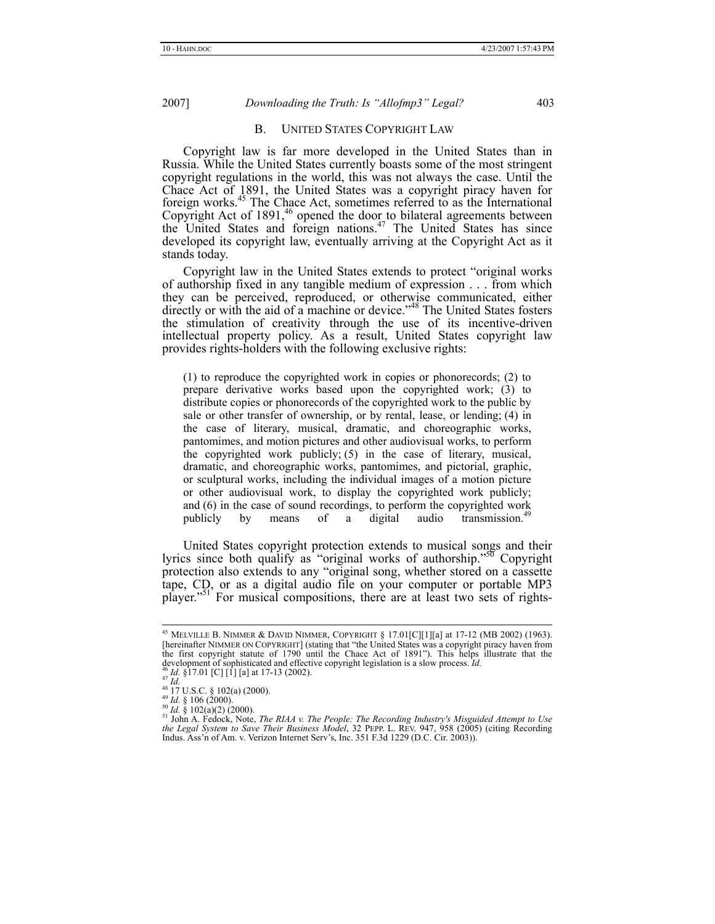#### B. UNITED STATES COPYRIGHT LAW

Copyright law is far more developed in the United States than in Russia. While the United States currently boasts some of the most stringent copyright regulations in the world, this was not always the case. Until the Chace Act of 1891, the United States was a copyright piracy haven for foreign works.45 The Chace Act, sometimes referred to as the International Copyright Act of 1891,<sup>46</sup> opened the door to bilateral agreements between the United States and foreign nations.<sup>47</sup> The United States has since developed its copyright law, eventually arriving at the Copyright Act as it stands today.

Copyright law in the United States extends to protect "original works of authorship fixed in any tangible medium of expression . . . from which they can be perceived, reproduced, or otherwise communicated, either directly or with the aid of a machine or device.<sup>748</sup> The United States fosters the stimulation of creativity through the use of its incentive-driven intellectual property policy. As a result, United States copyright law provides rights-holders with the following exclusive rights:

(1) to reproduce the copyrighted work in copies or phonorecords; (2) to prepare derivative works based upon the copyrighted work; (3) to distribute copies or phonorecords of the copyrighted work to the public by sale or other transfer of ownership, or by rental, lease, or lending; (4) in the case of literary, musical, dramatic, and choreographic works, pantomimes, and motion pictures and other audiovisual works, to perform the copyrighted work publicly; (5) in the case of literary, musical, dramatic, and choreographic works, pantomimes, and pictorial, graphic, or sculptural works, including the individual images of a motion picture or other audiovisual work, to display the copyrighted work publicly; and (6) in the case of sound recordings, to perform the copyrighted work publicly by means of a digital audio transmission.<sup>49</sup> publicly by means of a digital audio transmission.<sup>4</sup>

United States copyright protection extends to musical songs and their lyrics since both qualify as "original works of authorship."<sup>50</sup> Copyright protection also extends to any "original song, whether stored on a cassette tape, CD, or as a digital audio file on your computer or portable MP3 player."<sup>51'</sup> For musical compositions, there are at least two sets of rights-

 <sup>45</sup> MELVILLE B. NIMMER & DAVID NIMMER, COPYRIGHT § 17.01[C][1][a] at 17-12 (MB 2002) (1963). [hereinafter NIMMER ON COPYRIGHT] (stating that "the United States was a copyright piracy haven from the first copyright statute of 1790 until the Chace Act of 1891"). This helps illustrate that the development of sophisticated and effective copyright legislation is a slow process. *Id.*  $46$  *H*  $\leq$  4.17.10.16 Cl, 1.1

as  $Id$ . \$17.01 [C] [1] [a] at 17-13 (2002).<br>
47 Id.<br>
48 Id. \$17.01 [C] [1] [a] at 17-13 (2002).<br>
48 IT U.S.C. \$102(a) (2000).<br>
49 Id. \$106 (2000).<br>
50 Id. \$102(a)(2) (2000).<br>
50 Id. \$102(a)(2) (2000). *the Legal System to Save Their Business Model*, 32 PEPP. L. REV. 947, 958 (2005) (citing Recording Indus. Ass'n of Am. v. Verizon Internet Serv's, Inc. 351 F.3d 1229 (D.C. Cir. 2003)).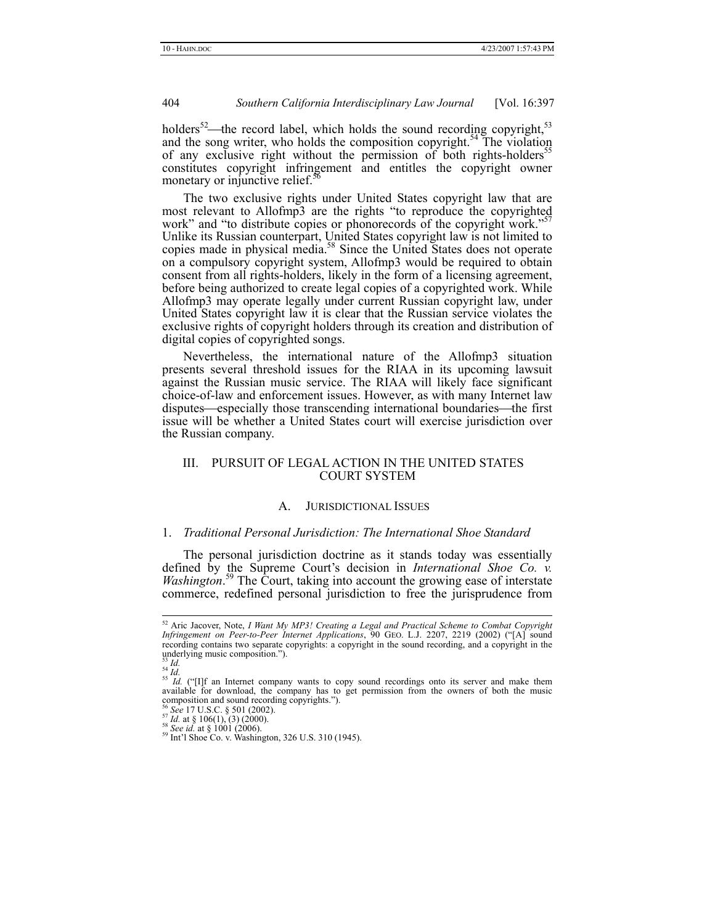holders<sup>52</sup>—the record label, which holds the sound recording copyright,  $53$ and the song writer, who holds the composition copyright.<sup>54</sup> The violation of any exclusive right without the permission of both rights-holders<sup>55</sup> constitutes copyright infringement and entitles the copyright owner monetary or injunctive relief. $5<sup>5</sup>$ 

The two exclusive rights under United States copyright law that are most relevant to Allofmp3 are the rights "to reproduce the copyrighted work" and "to distribute copies or phonorecords of the copyright work."<sup>5</sup> Unlike its Russian counterpart, United States copyright law is not limited to copies made in physical media.<sup>58</sup> Since the United States does not operate on a compulsory copyright system, Allofmp3 would be required to obtain consent from all rights-holders, likely in the form of a licensing agreement, before being authorized to create legal copies of a copyrighted work. While Allofmp3 may operate legally under current Russian copyright law, under United States copyright law it is clear that the Russian service violates the exclusive rights of copyright holders through its creation and distribution of digital copies of copyrighted songs.

Nevertheless, the international nature of the Allofmp3 situation presents several threshold issues for the RIAA in its upcoming lawsuit against the Russian music service. The RIAA will likely face significant choice-of-law and enforcement issues. However, as with many Internet law disputes—especially those transcending international boundaries—the first issue will be whether a United States court will exercise jurisdiction over the Russian company.

#### III. PURSUIT OF LEGAL ACTION IN THE UNITED STATES COURT SYSTEM

# A. JURISDICTIONAL ISSUES

#### 1. *Traditional Personal Jurisdiction: The International Shoe Standard*

The personal jurisdiction doctrine as it stands today was essentially defined by the Supreme Court's decision in *International Shoe Co. v. Washington*. 59 The Court, taking into account the growing ease of interstate commerce, redefined personal jurisdiction to free the jurisprudence from

 <sup>52</sup> Aric Jacover, Note, *I Want My MP3! Creating a Legal and Practical Scheme to Combat Copyright Infringement on Peer-to-Peer Internet Applications*, 90 GEO. L.J. 2207, 2219 (2002) ("[A] sound recording contains two separate copyrights: a copyright in the sound recording, and a copyright in the underlying music composition.").<br> $^{53}$  *Id.* 

<sup>&</sup>lt;sup>53</sup> *Id.* <sup>54</sup> *Id.*<br><sup>54</sup> *Id.* ("[I]f an Internet company wants to copy sound recordings onto its server and make them available for download, the company has to get permission from the owners of both the music composition and sound recording copyrights.").

<sup>&</sup>lt;sup>56</sup> See 17 U.S.C. § 501 (2002).<br><sup>57</sup> *Id.* at § 106(1), (3) (2000).<br><sup>58</sup> *See id.* at § 1001 (2006).<br><sup>59</sup> Int'l Shoe Co. v. Washington, 326 U.S. 310 (1945).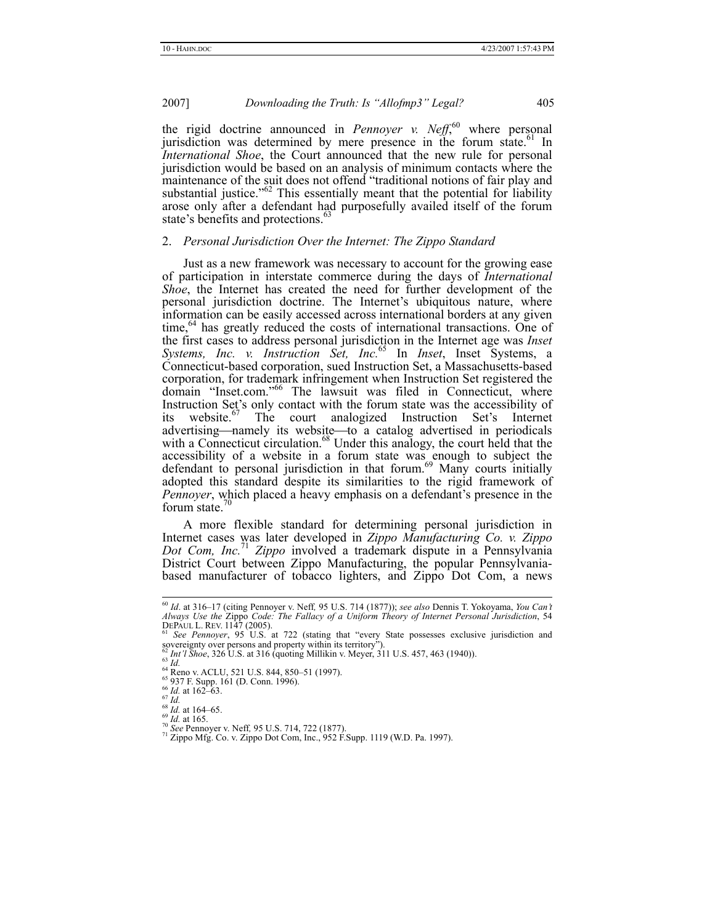the rigid doctrine announced in *Pennoyer v. Neff*,<sup>60</sup> where personal jurisdiction was determined by mere presence in the forum state.<sup>61</sup> In *International Shoe*, the Court announced that the new rule for personal jurisdiction would be based on an analysis of minimum contacts where the maintenance of the suit does not offend "traditional notions of fair play and substantial justice."<sup>62</sup> This essentially meant that the potential for liability arose only after a defendant had purposefully availed itself of the forum state's benefits and protections.<sup>63</sup>

#### 2. *Personal Jurisdiction Over the Internet: The Zippo Standard*

Just as a new framework was necessary to account for the growing ease of participation in interstate commerce during the days of *International Shoe*, the Internet has created the need for further development of the personal jurisdiction doctrine. The Internet's ubiquitous nature, where information can be easily accessed across international borders at any given time,<sup>64</sup> has greatly reduced the costs of international transactions. One of the first cases to address personal jurisdiction in the Internet age was *Inset Systems, Inc. v. Instruction Set, Inc.*65 In *Inset*, Inset Systems, a Connecticut-based corporation, sued Instruction Set, a Massachusetts-based corporation, for trademark infringement when Instruction Set registered the domain "Inset.com."<sup>66</sup> The lawsuit was filed in Connecticut, where Instruction Set's only contact with the forum state was the accessibility of its website.<sup>67</sup> The court analogized Instruction Set's Internet The court analogized Instruction Set's Internet advertising—namely its website—to a catalog advertised in periodicals with a Connecticut circulation.<sup>68</sup> Under this analogy, the court held that the accessibility of a website in a forum state was enough to subject the defendant to personal jurisdiction in that forum.<sup>69</sup> Many courts initially adopted this standard despite its similarities to the rigid framework of *Pennoyer*, which placed a heavy emphasis on a defendant's presence in the forum state.<sup>71</sup>

A more flexible standard for determining personal jurisdiction in Internet cases was later developed in *Zippo Manufacturing Co. v. Zippo Dot Com, Inc.*<sup>71</sup> *Zippo* involved a trademark dispute in a Pennsylvania District Court between Zippo Manufacturing, the popular Pennsylvaniabased manufacturer of tobacco lighters, and Zippo Dot Com, a news

- 
- 
- 
- 

 <sup>60</sup> *Id*. at 316–17 (citing Pennoyer v. Neff*,* 95 U.S. 714 (1877)); *see also* Dennis T. Yokoyama, *You Can't*  Always Use the Zippo Code: The Fallacy of a Uniform Theory of Internet Personal Jurisdiction, 54<br>DEPAUL L. REV. 1147 (2005).<br><sup>61</sup> See Pennoyer, 95 U.S. at 722 (stating that "every State possesses exclusive jurisdiction and

sovereignty over persons and property within its territory").<br>  ${}^{62}$  *Int'l Shoe*, 326 U.S. at 316 (quoting Millikin v. Meyer, 311 U.S. 457, 463 (1940)).<br>  ${}^{63}$  *Id.*<br>  ${}^{64}$  Reno v. ACLU, 521 U.S. 844, 850–51 (1997)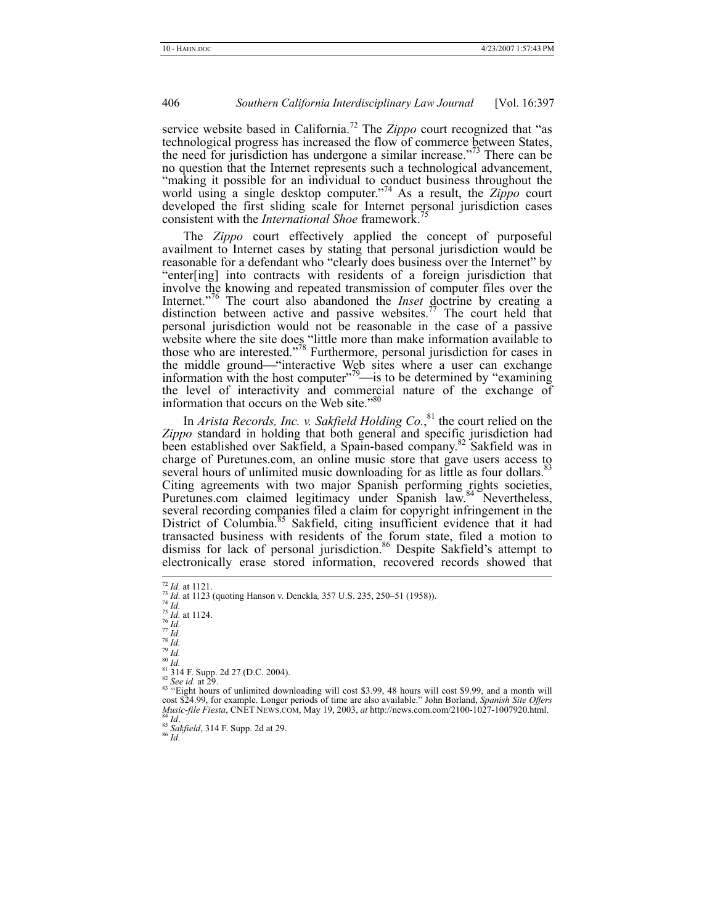service website based in California.<sup>72</sup> The *Zippo* court recognized that "as technological progress has increased the flow of commerce between States, the need for jurisdiction has undergone a similar increase."<sup>73</sup> There can be no question that the Internet represents such a technological advancement, "making it possible for an individual to conduct business throughout the world using a single desktop computer."74 As a result, the *Zippo* court developed the first sliding scale for Internet personal jurisdiction cases consistent with the *International Shoe* framework.<sup>7</sup>

The *Zippo* court effectively applied the concept of purposeful availment to Internet cases by stating that personal jurisdiction would be reasonable for a defendant who "clearly does business over the Internet" by "enter[ing] into contracts with residents of a foreign jurisdiction that involve the knowing and repeated transmission of computer files over the Internet."76 The court also abandoned the *Inset* doctrine by creating a distinction between active and passive websites.<sup>77</sup> The court held that personal jurisdiction would not be reasonable in the case of a passive website where the site does "little more than make information available to those who are interested."<sup>78</sup> Furthermore, personal jurisdiction for cases in the middle ground—"interactive Web sites where a user can exchange information with the host computer"<sup>79</sup> $\rightarrow$  is to be determined by "examining" the level of interactivity and commercial nature of the exchange of information that occurs on the Web site."<sup>80</sup>

In *Arista Records, Inc. v. Sakfield Holding Co.*,<sup>81</sup> the court relied on the *Zippo* standard in holding that both general and specific jurisdiction had been established over Sakfield, a Spain-based company.<sup>82</sup> Sakfield was in charge of Puretunes.com, an online music store that gave users access to several hours of unlimited music downloading for as little as four dollars.<sup>83</sup> Citing agreements with two major Spanish performing rights societies, Puretunes.com claimed legitimacy under Spanish law.<sup>84</sup> Nevertheless, several recording companies filed a claim for copyright infringement in the District of Columbia.<sup>85</sup> Sakfield, citing insufficient evidence that it had transacted business with residents of the forum state, filed a motion to dismiss for lack of personal jurisdiction.<sup>86</sup> Despite Sakfield's attempt to electronically erase stored information, recovered records showed that

<sup>&</sup>lt;sup>72</sup> *Id.* at 1121.<br>
<sup>73</sup> *Id.* at 1123 (quoting Hanson v. Denckla, 357 U.S. 235, 250–51 (1958)).<br>
<sup>75</sup> *Id.*<br>
<sup>75</sup> *Id.*<br>
<sup>76</sup> *Id.*<br>
<sup>77</sup> *Id.*<br>
<sup>79</sup> *Id.*<br>
<sup>81</sup> *Id.*<br>
<sup>89</sup> *Id.*<br>
<sup>81</sup> 314 F. Supp. 2d 27 (D.C. 2004).<br>

so example. Longer periods of time are also available." John Borland, *Spanish Site Offers* cost \$24.99, for example. Longer periods of time are also available." John Borland, *Spanish Site Offers Cost* **Contract Contrac** *Music-file Fiesta*, CNET NEWS.COM, May 19, 2003, *at* http://news.com.com/2100-1027-1007920.html. <sup>85</sup> *Id.* 85 *Sakfield*, 314 F. Supp. 2d at 29. 86 *Id*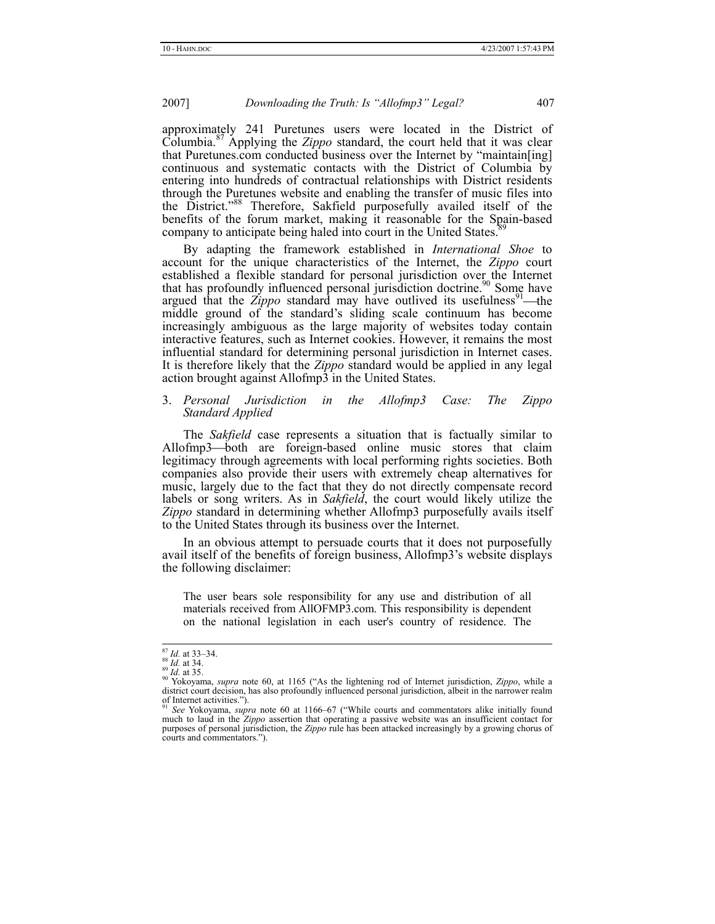approximately 241 Puretunes users were located in the District of Columbia.87 Applying the *Zippo* standard, the court held that it was clear that Puretunes.com conducted business over the Internet by "maintain[ing] continuous and systematic contacts with the District of Columbia by entering into hundreds of contractual relationships with District residents through the Puretunes website and enabling the transfer of music files into the District."88 Therefore, Sakfield purposefully availed itself of the benefits of the forum market, making it reasonable for the Spain-based company to anticipate being haled into court in the United States.

By adapting the framework established in *International Shoe* to account for the unique characteristics of the Internet, the *Zippo* court established a flexible standard for personal jurisdiction over the Internet that has profoundly influenced personal jurisdiction doctrine.<sup>90</sup> Some have argued that the *Zippo* standard may have outlived its usefulness<sup>91</sup>—the middle ground of the standard's sliding scale continuum has become increasingly ambiguous as the large majority of websites today contain interactive features, such as Internet cookies. However, it remains the most influential standard for determining personal jurisdiction in Internet cases. It is therefore likely that the *Zippo* standard would be applied in any legal action brought against Allofmp3 in the United States.

#### 3. *Personal Jurisdiction in the Allofmp3 Case: The Zippo Standard Applied*

The *Sakfield* case represents a situation that is factually similar to Allofmp3—both are foreign-based online music stores that claim legitimacy through agreements with local performing rights societies. Both companies also provide their users with extremely cheap alternatives for music, largely due to the fact that they do not directly compensate record labels or song writers. As in *Sakfield*, the court would likely utilize the *Zippo* standard in determining whether Allofmp3 purposefully avails itself to the United States through its business over the Internet.

In an obvious attempt to persuade courts that it does not purposefully avail itself of the benefits of foreign business, Allofmp3's website displays the following disclaimer:

The user bears sole responsibility for any use and distribution of all materials received from AllOFMP3.com. This responsibility is dependent on the national legislation in each user's country of residence. The

<sup>&</sup>lt;sup>87</sup> *Id.* at 33–34.<br><sup>88</sup> *Id.* at 34.<br><sup>89</sup> *Id.* at 35.<br><sup>89</sup> *Id.* at 35.<br><sup>90</sup> Yokoyama, *supra* note 60, at 1165 ("As the lightening rod of Internet jurisdiction, *Zippo*, while a<br>district court decision, has also profo of Internet activities.").

See Yokoyama, *supra* note 60 at 1166–67 ("While courts and commentators alike initially found much to laud in the *Zippo* assertion that operating a passive website was an insufficient contact for purposes of personal jurisdiction, the *Zippo* rule has been attacked increasingly by a growing chorus of courts and commentators.").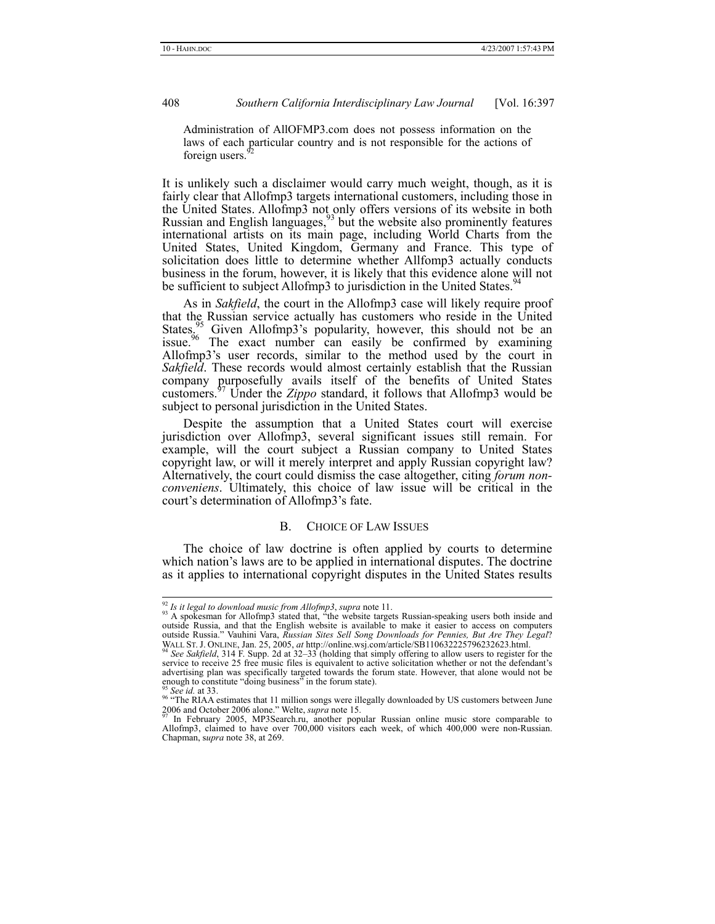Administration of AllOFMP3.com does not possess information on the laws of each particular country and is not responsible for the actions of foreign users.<sup>9</sup>

It is unlikely such a disclaimer would carry much weight, though, as it is fairly clear that Allofmp3 targets international customers, including those in the United States. Allofmp3 not only offers versions of its website in both Russian and English languages,  $93$  but the website also prominently features international artists on its main page, including World Charts from the United States, United Kingdom, Germany and France. This type of solicitation does little to determine whether Allfomp3 actually conducts business in the forum, however, it is likely that this evidence alone will not be sufficient to subject Allofmp3 to jurisdiction in the United States.<sup>5</sup>

As in *Sakfield*, the court in the Allofmp3 case will likely require proof that the Russian service actually has customers who reside in the United States.<sup>95</sup> Given Allofmp3's popularity, however, this should not be an States.<sup>95</sup> Given Allofmp3's popularity, however, this should not be an issue.<sup>96</sup> The exact number can easily be confirmed by examining Allofmp3's user records, similar to the method used by the court in *Sakfield*. These records would almost certainly establish that the Russian company purposefully avails itself of the benefits of United States customers.97 Under the *Zippo* standard, it follows that Allofmp3 would be subject to personal jurisdiction in the United States.

Despite the assumption that a United States court will exercise jurisdiction over Allofmp3, several significant issues still remain. For example, will the court subject a Russian company to United States copyright law, or will it merely interpret and apply Russian copyright law? Alternatively, the court could dismiss the case altogether, citing *forum nonconveniens*. Ultimately, this choice of law issue will be critical in the court's determination of Allofmp3's fate.

#### B. CHOICE OF LAW ISSUES

The choice of law doctrine is often applied by courts to determine which nation's laws are to be applied in international disputes. The doctrine as it applies to international copyright disputes in the United States results

<sup>&</sup>lt;sup>92</sup> Is it legal to download music from Allofmp3, supra note 11.<br><sup>93</sup> A spokesman for Allofmp3 stated that, "the website targets Russian-speaking users both inside and outside Russia, and that the English website is avail

WALL ST. J. ONLINE, Jan. 25, 2005, *at* http://online.wsj.com/article/SB110632225796232623.html.<br><sup>94</sup> *See Sakfield*, 314 F. Supp. 2d at 32–33 (holding that simply offering to allow users to register for the <sup>94</sup> See Sakfield, 314 F. Supp. 2d at 32–33 (holding that simply offering to allow users to register for the service to receive 25 free music files is equivalent to active solicitation whether or not the defendant's advertising plan was specifically targeted towards the forum state. However, that alone would not be enough to constitute "doing business" in the forum state).

<sup>&</sup>lt;sup>95</sup> See id. at 33.<br><sup>96</sup> "The RIAA estimates that 11 million songs were illegally downloaded by US customers between June 2006 and October 2006 alone." Welte, *supra* note 15. 97 In February 2005, MP3Search.ru, another popular Russian online music store comparable to

Allofmp3, claimed to have over 700,000 visitors each week, of which 400,000 were non-Russian. Chapman, s*upra* note 38, at 269.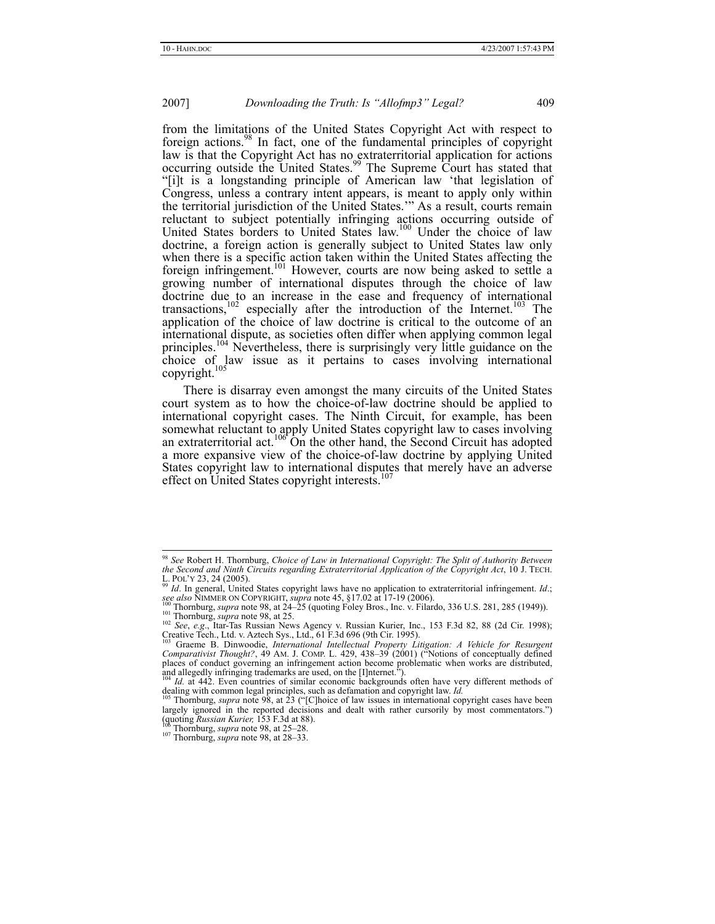from the limitations of the United States Copyright Act with respect to foreign actions.98 In fact, one of the fundamental principles of copyright law is that the Copyright Act has no extraterritorial application for actions occurring outside the United States.<sup>99</sup> The Supreme Court has stated that "[i]t is a longstanding principle of American law 'that legislation of Congress, unless a contrary intent appears, is meant to apply only within the territorial jurisdiction of the United States.'" As a result, courts remain reluctant to subject potentially infringing actions occurring outside of United States borders to United States law.<sup>100</sup> Under the choice of law doctrine, a foreign action is generally subject to United States law only when there is a specific action taken within the United States affecting the foreign infringement.<sup>101</sup> However, courts are now being asked to settle a growing number of international disputes through the choice of law doctrine due to an increase in the ease and frequency of international transactions,<sup>102</sup> especially after the introduction of the Internet.<sup>103</sup> The application of the choice of law doctrine is critical to the outcome of an international dispute, as societies often differ when applying common legal principles.<sup>104</sup> Nevertheless, there is surprisingly very little guidance on the choice of law issue as it pertains to cases involving international copyright.<sup>105</sup>

There is disarray even amongst the many circuits of the United States court system as to how the choice-of-law doctrine should be applied to international copyright cases. The Ninth Circuit, for example, has been somewhat reluctant to apply United States copyright law to cases involving an extraterritorial act.<sup>106</sup> On the other hand, the Second Circuit has adopted a more expansive view of the choice-of-law doctrine by applying United States copyright law to international disputes that merely have an adverse effect on United States copyright interests.<sup>10</sup>

 <sup>98</sup> *See* Robert H. Thornburg, *Choice of Law in International Copyright: The Split of Authority Between the Second and Ninth Circuits regarding Extraterritorial Application of the Copyright Act*, 10 J. TECH. L. POL'Y 23, 24 (2005). 99 *Id*. In general, United States copyright laws have no application to extraterritorial infringement. *Id*.;

see also NIMMER ON COPYRIGHT, supra note 45, §17.02 at 17-19 (2006).<br><sup>100</sup> Thornburg, supra note 98, at 24-25 (quoting Foley Bros., Inc. v. Filardo, 336 U.S. 281, 285 (1949)).<br><sup>101</sup> Thornburg, supra note 98, at 25.

Creative Tech., Ltd. v. Aztech Sys., Ltd., 61 F.3d 696 (9th Cir. 1995).<br><sup>103</sup> Graeme B. Dinwoodie, *International Intellectual Property Litigation: A Vehicle for Resurgent* 

*Comparativist Thought?*, 49 AM. J. COMP. L. 429, 438–39 (2001) ("Notions of conceptually defined places of conduct governing an infringement action become problematic when works are distributed, and allegedly infringing trademarks are used, on the [I]nternet.").<br><sup>104</sup> *Id.* at 442. Even countries of similar economic backgrounds often have very different methods of

dealing with common legal principles, such as defamation and copyright law. *Id.* <sup>105</sup> Thornburg, *supra* note 98, at 23 ("[C]hoice of law issues in international copyright cases have been

largely ignored in the reported decisions and dealt with rather cursorily by most commentators.") (quoting *Russian Kurier*, 153 F.3d at 88).<br><sup>106</sup> Thornburg, *supra* note 98, at 25–28.<br><sup>107</sup> Thornburg, *supra* note 98, a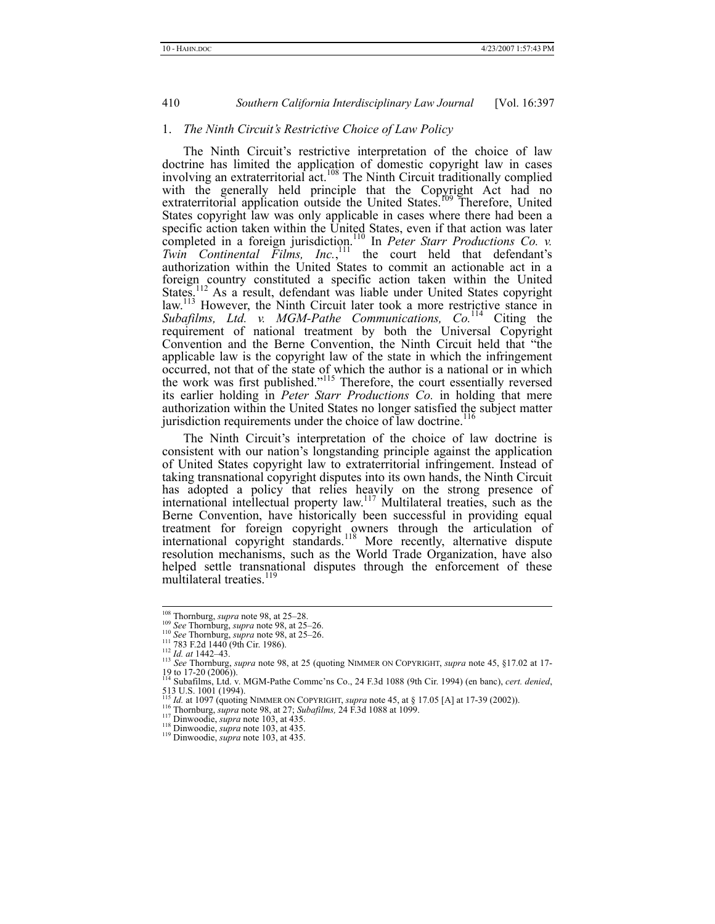#### 1. *The Ninth Circuit's Restrictive Choice of Law Policy*

The Ninth Circuit's restrictive interpretation of the choice of law doctrine has limited the application of domestic copyright law in cases involving an extraterritorial act.<sup>108</sup> The Ninth Circuit traditionally complied with the generally held principle that the Copyright Act had no extraterritorial application outside the United States.<sup>109</sup> Therefore, United States copyright law was only applicable in cases where there had been a specific action taken within the United States, even if that action was later completed in a foreign jurisdiction.<sup>110</sup> In *Peter Starr Productions Co. v.*  $Twin$  *Continental Films, Inc.*,  $\frac{111}{11}$  the court held that defendant's authorization within the United States to commit an actionable act in a foreign country constituted a specific action taken within the United States.<sup>112</sup> As a result, defendant was liable under United States copyright law.<sup>113</sup> However, the Ninth Circuit later took a more restrictive stance in *Subafilms, Ltd. v. MGM-Pathe Communications, Co.*114 Citing the requirement of national treatment by both the Universal Copyright Convention and the Berne Convention, the Ninth Circuit held that "the applicable law is the copyright law of the state in which the infringement occurred, not that of the state of which the author is a national or in which the work was first published."<sup>115</sup> Therefore, the court essentially reversed its earlier holding in *Peter Starr Productions Co.* in holding that mere authorization within the United States no longer satisfied the subject matter jurisdiction requirements under the choice of law doctrine.<sup>1</sup>

The Ninth Circuit's interpretation of the choice of law doctrine is consistent with our nation's longstanding principle against the application of United States copyright law to extraterritorial infringement. Instead of taking transnational copyright disputes into its own hands, the Ninth Circuit has adopted a policy that relies heavily on the strong presence of international intellectual property law.<sup>117</sup> Multilateral treaties, such as the Berne Convention, have historically been successful in providing equal treatment for foreign copyright owners through the articulation of international copyright standards.<sup>118</sup> More recently, alternative dispute resolution mechanisms, such as the World Trade Organization, have also helped settle transnational disputes through the enforcement of these multilateral treaties.<sup>119</sup>

<sup>&</sup>lt;sup>108</sup> Thornburg, *supra* note 98, at 25–28.<br>
<sup>109</sup> See Thornburg, *supra* note 98, at 25–26.<br>
<sup>110</sup> See Thornburg, *supra* note 98, at 25–26.<br>
<sup>111</sup> 783 F.2d 1440 (9th Cir. 1986).<br>
<sup>112</sup> Id. *at* 1442–43.<br>
<sup>113</sup> See Thorn

<sup>19</sup> to 17-20 (2006)). 114 Subafilms, Ltd. v. MGM-Pathe Commc'ns Co., 24 F.3d 1088 (9th Cir. 1994) (en banc), *cert. denied*, 513 U.S. 1001 (1994).

<sup>&</sup>lt;sup>115</sup> *Id.* at 1097 (quoting NIMMER ON COPYRIGHT, *supra* note 45, at § 17.05 [A] at 17-39 (2002)).<br><sup>116</sup> Thornburg, *supra* note 98, at 27; *Subafilms*, 24 F.3d 1088 at 1099.<br><sup>117</sup> Dinwoodie, *supra* note 103, at 435.<br><sup>1</sup>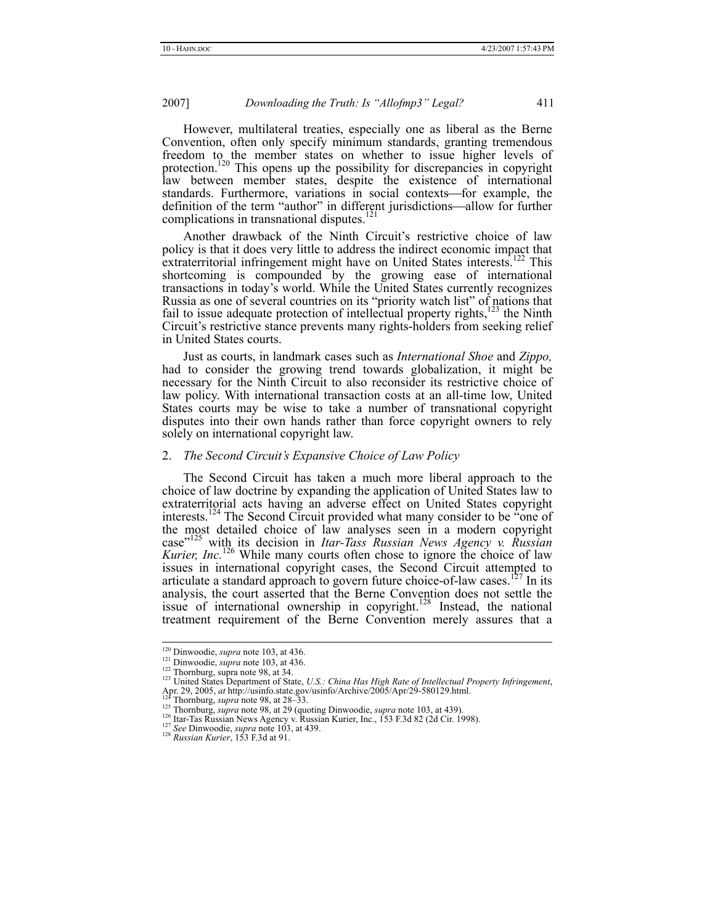However, multilateral treaties, especially one as liberal as the Berne Convention, often only specify minimum standards, granting tremendous freedom to the member states on whether to issue higher levels of protection.<sup>120</sup> This opens up the possibility for discrepancies in copyright law between member states, despite the existence of international standards. Furthermore, variations in social contexts—for example, the definition of the term "author" in different jurisdictions—allow for further complications in transnational disputes.<sup>121</sup>

Another drawback of the Ninth Circuit's restrictive choice of law policy is that it does very little to address the indirect economic impact that extraterritorial infringement might have on United States interests.<sup>122</sup> This shortcoming is compounded by the growing ease of international transactions in today's world. While the United States currently recognizes Russia as one of several countries on its "priority watch list" of nations that fail to issue adequate protection of intellectual property rights, $123$  the Ninth Circuit's restrictive stance prevents many rights-holders from seeking relief in United States courts.

Just as courts, in landmark cases such as *International Shoe* and *Zippo,* had to consider the growing trend towards globalization, it might be necessary for the Ninth Circuit to also reconsider its restrictive choice of law policy. With international transaction costs at an all-time low, United States courts may be wise to take a number of transnational copyright disputes into their own hands rather than force copyright owners to rely solely on international copyright law.

#### 2. *The Second Circuit's Expansive Choice of Law Policy*

The Second Circuit has taken a much more liberal approach to the choice of law doctrine by expanding the application of United States law to extraterritorial acts having an adverse effect on United States copyright interests.<sup>124</sup> The Second Circuit provided what many consider to be  $\alpha$  one of the most detailed choice of law analyses seen in a modern copyright case"125 with its decision in *Itar-Tass Russian News Agency v. Russian Kurier, Inc.*<sup>126</sup> While many courts often chose to ignore the choice of law issues in international copyright cases, the Second Circuit attempted to articulate a standard approach to govern future choice-of-law cases.<sup>127</sup> In its analysis, the court asserted that the Berne Convention does not settle the issue of international ownership in copyright.<sup>128</sup> Instead, the national treatment requirement of the Berne Convention merely assures that a

<sup>&</sup>lt;sup>120</sup> Dinwoodie, *supra* note 103, at 436.<br><sup>121</sup> Dinwoodie, *supra* note 103, at 436.<br><sup>122</sup> Thornburg, supra note 98, at 34.<br><sup>123</sup> United States Department of State, *U.S.: China Has High Rate of Intellectual Property Infr* 

Apr. 29, 2005, *at* http://usinfo.state.gov/usinfo/Archive/2005/Apr/29-580129.html.<br><sup>124</sup> Thornburg, *supra* note 98, at 28–33.<br><sup>125</sup> Thornburg, *supra* note 98, at 29 (quoting Dinwoodie, *supra* note 103, at 439).<br><sup>126</sup>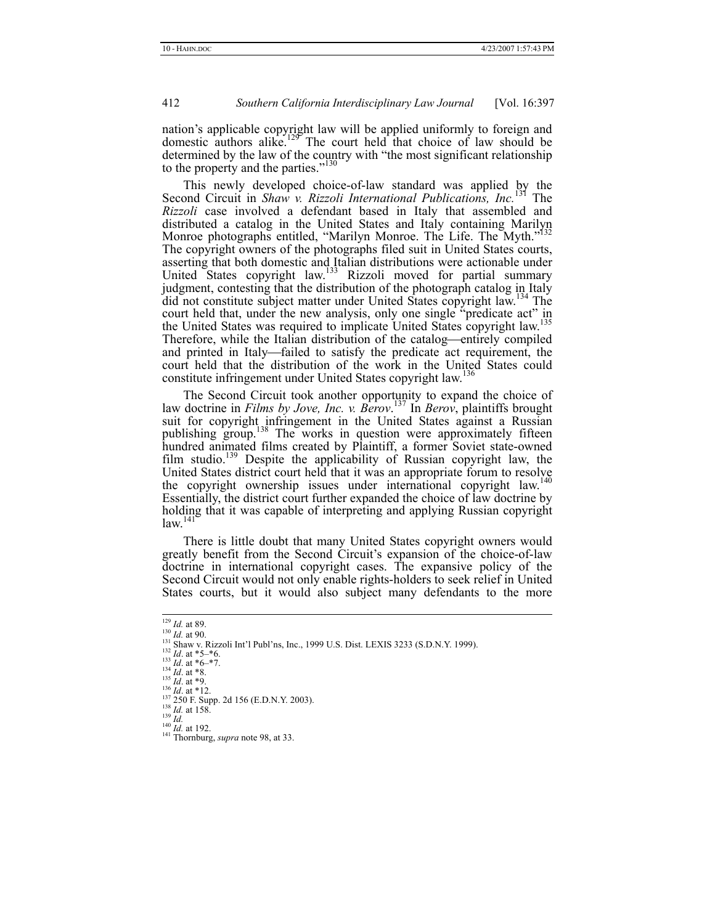nation's applicable copyright law will be applied uniformly to foreign and domestic authors alike.<sup>129</sup> The court held that choice of law should be determined by the law of the country with "the most significant relationship to the property and the parties."<sup>130</sup>

This newly developed choice-of-law standard was applied by the Second Circuit in *Shaw v. Rizzoli International Publications*, *Inc.*<sup>131</sup> The *Rizzoli* case involved a defendant based in Italy that assembled and distributed a catalog in the United States and Italy containing Marilyn Monroe photographs entitled, "Marilyn Monroe. The Life. The Myth." The copyright owners of the photographs filed suit in United States courts, asserting that both domestic and Italian distributions were actionable under United States copyright law.<sup>133</sup> Rizzoli moved for partial summary judgment, contesting that the distribution of the photograph catalog in Italy did not constitute subject matter under United States copyright law.134 The court held that, under the new analysis, only one single "predicate act" in the United States was required to implicate United States copyright law.<sup>135</sup> Therefore, while the Italian distribution of the catalog—entirely compiled and printed in Italy—failed to satisfy the predicate act requirement, the court held that the distribution of the work in the United States could constitute infringement under United States copyright law.<sup>136</sup>

The Second Circuit took another opportunity to expand the choice of law doctrine in *Films by Jove, Inc. v. Berov*. 137 In *Berov*, plaintiffs brought suit for copyright infringement in the United States against a Russian publishing group.<sup>138</sup> The works in question were approximately fifteen hundred animated films created by Plaintiff, a former Soviet state-owned film studio.<sup>139</sup> Despite the applicability of Russian copyright law, the United States district court held that it was an appropriate forum to resolve the copyright ownership issues under international copyright law.<sup>140</sup> Essentially, the district court further expanded the choice of law doctrine by holding that it was capable of interpreting and applying Russian copyright  $law.<sup>141</sup>$ 

There is little doubt that many United States copyright owners would greatly benefit from the Second Circuit's expansion of the choice-of-law doctrine in international copyright cases. The expansive policy of the Second Circuit would not only enable rights-holders to seek relief in United States courts, but it would also subject many defendants to the more

- 
- 
- 
- 

- 
- 

<sup>&</sup>lt;sup>129</sup> *Id.* at 89.<br>
<sup>130</sup> *Id.* at 90.<br>
<sup>131</sup> Shaw v. Rizzoli Int'l Publ'ns, Inc., 1999 U.S. Dist. LEXIS 3233 (S.D.N.Y. 1999).<br>
<sup>131</sup> *Id.* at \*5–\*7.<br>
<sup>134</sup> *Id.* at \*6–\*7.<br>
<sup>134</sup> *Id.* at \*8.<br>
<sup>135</sup> *Id.* at \*8.<br>
<sup>136</sup>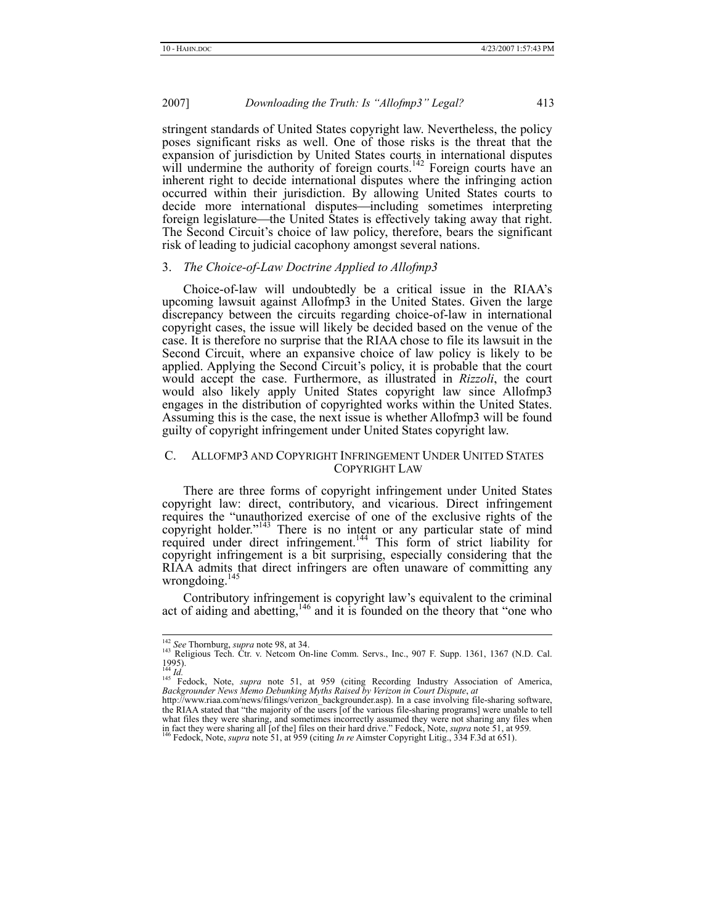stringent standards of United States copyright law. Nevertheless, the policy poses significant risks as well. One of those risks is the threat that the expansion of jurisdiction by United States courts in international disputes will undermine the authority of foreign courts.<sup>142</sup> Foreign courts have an inherent right to decide international disputes where the infringing action occurred within their jurisdiction. By allowing United States courts to decide more international disputes—including sometimes interpreting foreign legislature—the United States is effectively taking away that right. The Second Circuit's choice of law policy, therefore, bears the significant risk of leading to judicial cacophony amongst several nations.

#### 3. *The Choice-of-Law Doctrine Applied to Allofmp3*

Choice-of-law will undoubtedly be a critical issue in the RIAA's upcoming lawsuit against Allofmp3 in the United States. Given the large discrepancy between the circuits regarding choice-of-law in international copyright cases, the issue will likely be decided based on the venue of the case. It is therefore no surprise that the RIAA chose to file its lawsuit in the Second Circuit, where an expansive choice of law policy is likely to be applied. Applying the Second Circuit's policy, it is probable that the court would accept the case. Furthermore, as illustrated in *Rizzoli*, the court would also likely apply United States copyright law since Allofmp3 engages in the distribution of copyrighted works within the United States. Assuming this is the case, the next issue is whether Allofmp3 will be found guilty of copyright infringement under United States copyright law.

#### C. ALLOFMP3 AND COPYRIGHT INFRINGEMENT UNDER UNITED STATES COPYRIGHT LAW

There are three forms of copyright infringement under United States copyright law: direct, contributory, and vicarious. Direct infringement requires the "unauthorized exercise of one of the exclusive rights of the copyright holder."<sup>143</sup> There is no intent or any particular state of mind required under direct infringement.144 This form of strict liability for copyright infringement is a bit surprising, especially considering that the RIAA admits that direct infringers are often unaware of committing any wrongdoing. $<sup>1</sup>$ </sup>

Contributory infringement is copyright law's equivalent to the criminal act of aiding and abetting,  $146$  and it is founded on the theory that "one who

<sup>&</sup>lt;sup>142</sup> *See* Thornburg, *supra* note 98, at 34.<br><sup>143</sup> Religious Tech. Ctr. v. Netcom On-line Comm. Servs., Inc., 907 F. Supp. 1361, 1367 (N.D. Cal.

<sup>1995).&</sup>lt;br><sup>144</sup> *Id.*<br><sup>145</sup> Fedock, Note, *supra* note 51, at 959 (citing Recording Industry Association of America, *Backgrounder News Memo Debunking Myths Raised by Verizon in Court Dispute, <i>at* 

http://www.riaa.com/news/filings/verizon\_backgrounder.asp). In a case involving file-sharing software, the RIAA stated that "the majority of the users [of the various file-sharing programs] were unable to tell what files they were sharing, and sometimes incorrectly assumed they were not sharing any files when in fact they were sharing all [of the] files on their hard drive." Fedock, Note, *supra* note 51, at 959.<br><sup>146</sup> Fedock, Note, *supra* note 51, at 959 (citing *In re* Aimster Copyright Litig., 334 F.3d at 651).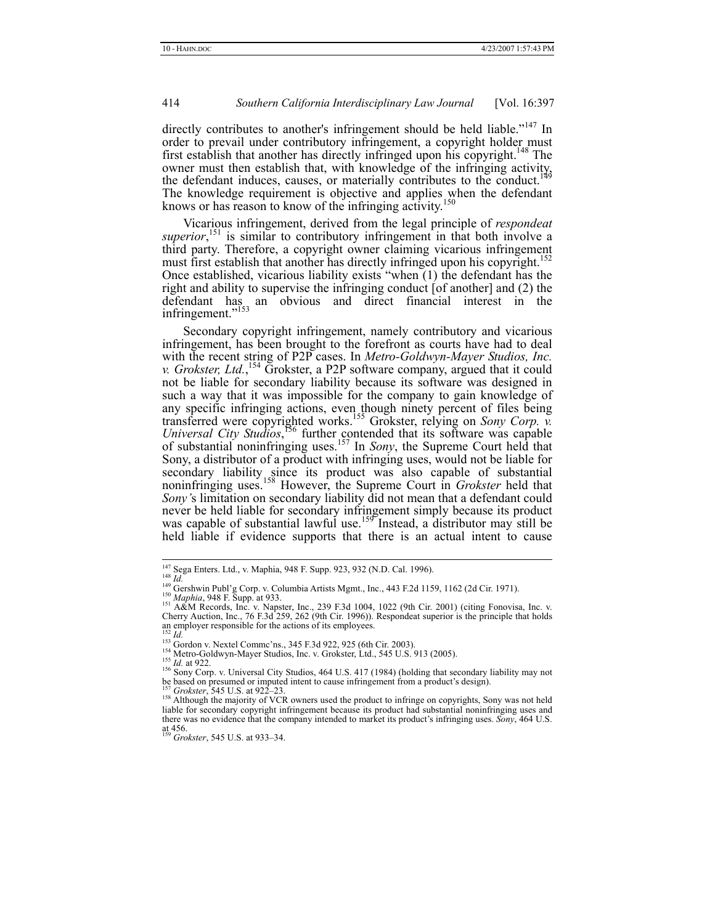directly contributes to another's infringement should be held liable."<sup>147</sup> In order to prevail under contributory infringement, a copyright holder must first establish that another has directly infringed upon his copyright.<sup>148</sup> The owner must then establish that, with knowledge of the infringing activity,<br>where must then establish that, with knowledge of the infringing activity, the defendant induces, causes, or materially contributes to the conduct. The knowledge requirement is objective and applies when the defendant knows or has reason to know of the infringing activity.

Vicarious infringement, derived from the legal principle of *respondeat*  superior,<sup>151</sup> is similar to contributory infringement in that both involve a third party. Therefore, a copyright owner claiming vicarious infringement must first establish that another has directly infringed upon his copyright.<sup>152</sup> Once established, vicarious liability exists "when (1) the defendant has the right and ability to supervise the infringing conduct [of another] and (2) the defendant has an obvious and direct financial interest in the infringement."<sup>153</sup>

Secondary copyright infringement, namely contributory and vicarious infringement, has been brought to the forefront as courts have had to deal with the recent string of P2P cases. In *Metro-Goldwyn-Mayer Studios, Inc. v. Grokster, Ltd.*,<sup>154</sup> Grokster, a P2P software company, argued that it could not be liable for secondary liability because its software was designed in such a way that it was impossible for the company to gain knowledge of any specific infringing actions, even though ninety percent of files being transferred were copyrighted works.155 Grokster, relying on *Sony Corp. v.*  Universal City Studios,<sup>156</sup> further contended that its software was capable of substantial noninfringing uses.157 In *Sony*, the Supreme Court held that Sony, a distributor of a product with infringing uses, would not be liable for secondary liability since its product was also capable of substantial noninfringing uses.158 However, the Supreme Court in *Grokster* held that *Sony'*s limitation on secondary liability did not mean that a defendant could never be held liable for secondary infringement simply because its product was capable of substantial lawful use.<sup>159°</sup> Instead, a distributor may still be held liable if evidence supports that there is an actual intent to cause

<sup>&</sup>lt;sup>147</sup> Sega Enters. Ltd., v. Maphia, 948 F. Supp. 923, 932 (N.D. Cal. 1996).<br><sup>148</sup> Id.<br><sup>149</sup> Gershwin Publ'g Corp. v. Columbia Artists Mgmt., Inc., 443 F.2d 1159, 1162 (2d Cir. 1971).<br><sup>150</sup> *Maphia*, 948 F. Supp. at 933.<br><sup>1</sup> Cherry Auction, Inc., 76 F.3d 259, 262 (9th Cir. 1996)). Respondeat superior is the principle that holds

an employer responsible for the actions of its employees.<br>
<sup>153</sup> *Id.*<br>
<sup>153</sup> Gordon v. Nextel Comme'ns., 345 F.3d 922, 925 (6th Cir. 2003).<br>
<sup>154</sup> Metro-Goldwyn-Mayer Studios, Inc. v. Grokster, Ltd., 545 U.S. 913 (2005).

<sup>&</sup>lt;sup>157</sup> Grokster, 545 U.S. at 922–23.<br><sup>158</sup> Although the majority of VCR owners used the product to infringe on copyrights, Sony was not held liable for secondary copyright infringement because its product had substantial noninfringing uses and there was no evidence that the company intended to market its product's infringing uses. *Sony*, 464 U.S. at 456. <sup>159</sup> *Grokster*, 545 U.S. at 933–34.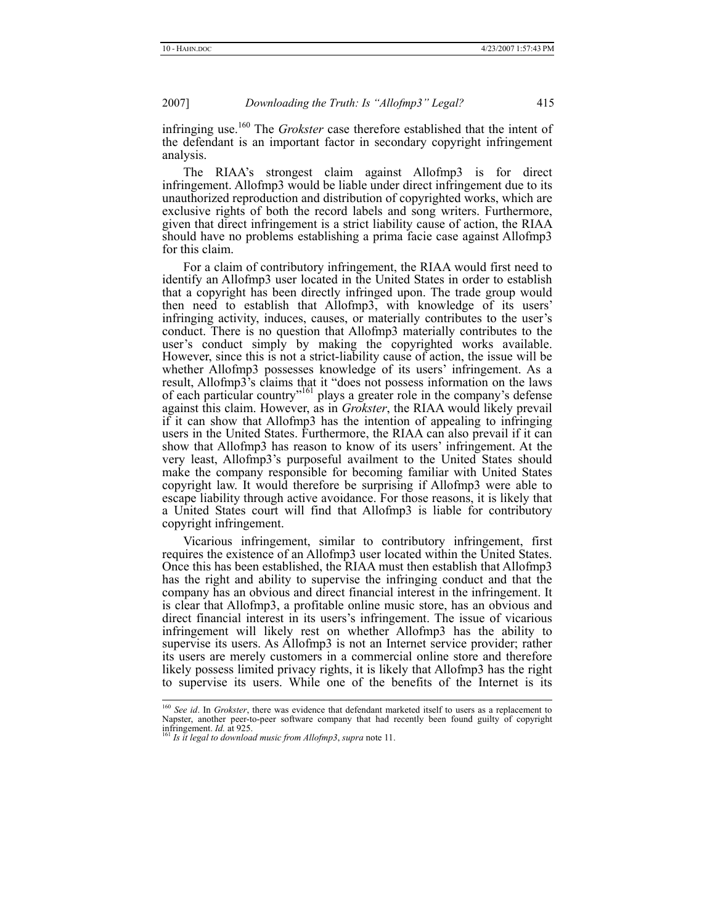infringing use.160 The *Grokster* case therefore established that the intent of the defendant is an important factor in secondary copyright infringement analysis.

The RIAA's strongest claim against Allofmp3 is for direct infringement. Allofmp3 would be liable under direct infringement due to its unauthorized reproduction and distribution of copyrighted works, which are exclusive rights of both the record labels and song writers. Furthermore, given that direct infringement is a strict liability cause of action, the RIAA should have no problems establishing a prima facie case against Allofmp3 for this claim.

For a claim of contributory infringement, the RIAA would first need to identify an Allofmp3 user located in the United States in order to establish that a copyright has been directly infringed upon. The trade group would then need to establish that Allofmp3, with knowledge of its users' infringing activity, induces, causes, or materially contributes to the user's conduct. There is no question that Allofmp3 materially contributes to the user's conduct simply by making the copyrighted works available. However, since this is not a strict-liability cause of action, the issue will be whether Allofmp3 possesses knowledge of its users' infringement. As a result, Allofmp3's claims that it "does not possess information on the laws of each particular country<sup>7161</sup> plays a greater role in the company's defense against this claim. However, as in *Grokster*, the RIAA would likely prevail if it can show that Allofmp3 has the intention of appealing to infringing users in the United States. Furthermore, the RIAA can also prevail if it can show that Allofmp3 has reason to know of its users' infringement. At the very least, Allofmp3's purposeful availment to the United States should make the company responsible for becoming familiar with United States copyright law. It would therefore be surprising if Allofmp3 were able to escape liability through active avoidance. For those reasons, it is likely that a United States court will find that Allofmp3 is liable for contributory copyright infringement.

Vicarious infringement, similar to contributory infringement, first requires the existence of an Allofmp3 user located within the United States. Once this has been established, the RIAA must then establish that Allofmp3 has the right and ability to supervise the infringing conduct and that the company has an obvious and direct financial interest in the infringement. It is clear that Allofmp3, a profitable online music store, has an obvious and direct financial interest in its users's infringement. The issue of vicarious infringement will likely rest on whether Allofmp3 has the ability to supervise its users. As Allofmp3 is not an Internet service provider; rather its users are merely customers in a commercial online store and therefore likely possess limited privacy rights, it is likely that Allofmp3 has the right to supervise its users. While one of the benefits of the Internet is its

<sup>&</sup>lt;sup>160</sup> See id. In Grokster, there was evidence that defendant marketed itself to users as a replacement to Napster, another peer-to-peer software company that had recently been found guilty of copyright<br>infining metric of a state of the state of the state of the state of the state of the state of the state of the state of the

<sup>&</sup>lt;sup>1</sup> Is it legal to download music from Allofmp3, supra note 11.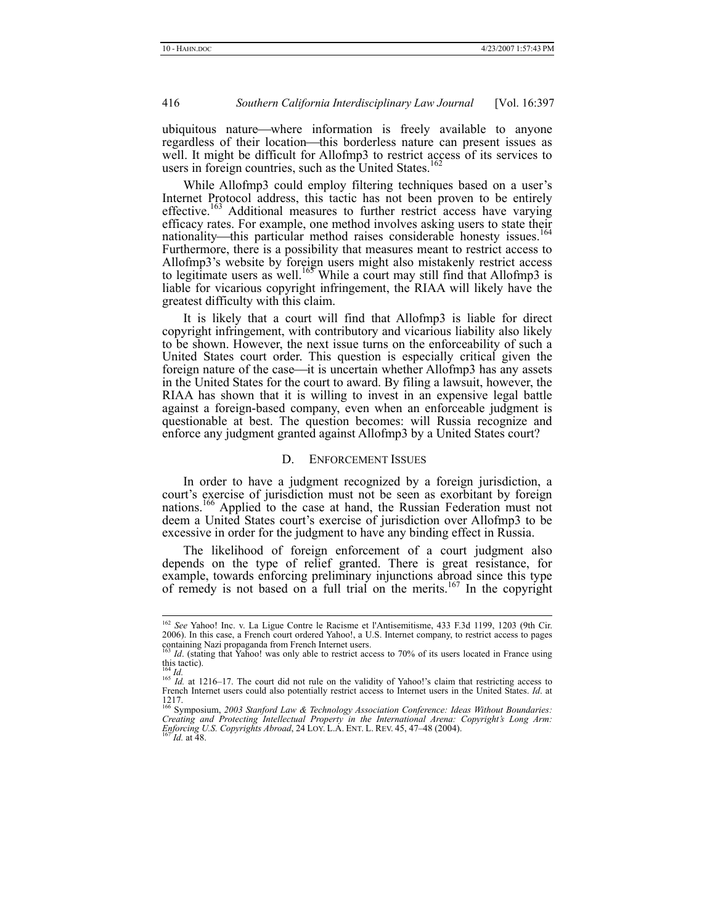ubiquitous nature—where information is freely available to anyone regardless of their location—this borderless nature can present issues as well. It might be difficult for Allofmp3 to restrict access of its services to users in foreign countries, such as the United States.<sup>16</sup>

While Allofmp3 could employ filtering techniques based on a user's Internet Protocol address, this tactic has not been proven to be entirely effective.<sup>163</sup> Additional measures to further restrict access have varying efficacy rates. For example, one method involves asking users to state their nationality—this particular method raises considerable honesty issues.<sup>164</sup> Furthermore, there is a possibility that measures meant to restrict access to Allofmp3's website by foreign users might also mistakenly restrict access to legitimate users as well.<sup>165</sup> While a court may still find that Allofmp3 is liable for vicarious copyright infringement, the RIAA will likely have the greatest difficulty with this claim.

It is likely that a court will find that Allofmp3 is liable for direct copyright infringement, with contributory and vicarious liability also likely to be shown. However, the next issue turns on the enforceability of such a United States court order. This question is especially critical given the foreign nature of the case—it is uncertain whether Allofmp3 has any assets in the United States for the court to award. By filing a lawsuit, however, the RIAA has shown that it is willing to invest in an expensive legal battle against a foreign-based company, even when an enforceable judgment is questionable at best. The question becomes: will Russia recognize and enforce any judgment granted against Allofmp3 by a United States court?

#### D. ENFORCEMENT ISSUES

In order to have a judgment recognized by a foreign jurisdiction, a court's exercise of jurisdiction must not be seen as exorbitant by foreign nations.166 Applied to the case at hand, the Russian Federation must not deem a United States court's exercise of jurisdiction over Allofmp3 to be excessive in order for the judgment to have any binding effect in Russia.

The likelihood of foreign enforcement of a court judgment also depends on the type of relief granted. There is great resistance, for example, towards enforcing preliminary injunctions abroad since this type of remedy is not based on a full trial on the merits.<sup>167</sup> In the copyright

 <sup>162</sup> *See* Yahoo! Inc. v. La Ligue Contre le Racisme et l'Antisemitisme, 433 F.3d 1199, 1203 (9th Cir. 2006). In this case, a French court ordered Yahoo!, a U.S. Internet company, to restrict access to pages containing Nazi propaganda from French Internet users.

Id. (stating that Yahoo! was only able to restrict access to 70% of its users located in France using this tactic).

<sup>&</sup>lt;sup>164</sup> *Id.* at 1216–17. The court did not rule on the validity of Yahoo!'s claim that restricting access to 165 *Id.* at 1216–17. The court did not rule on the validity of Yahoo!'s claim that restricting access to French Internet users could also potentially restrict access to Internet users in the United States. *Id*. at

<sup>1217.</sup>  166 Symposium, *2003 Stanford Law & Technology Association Conference: Ideas Without Boundaries: Creating and Protecting Intellectual Property in the International Arena: Copyright's Long Arm: Enforcing U.S. Copyrights Abroad*, 24 LOY. L.A. ENT. L. REV. 45, 47–48 (2004). 167 *Id.* at 48.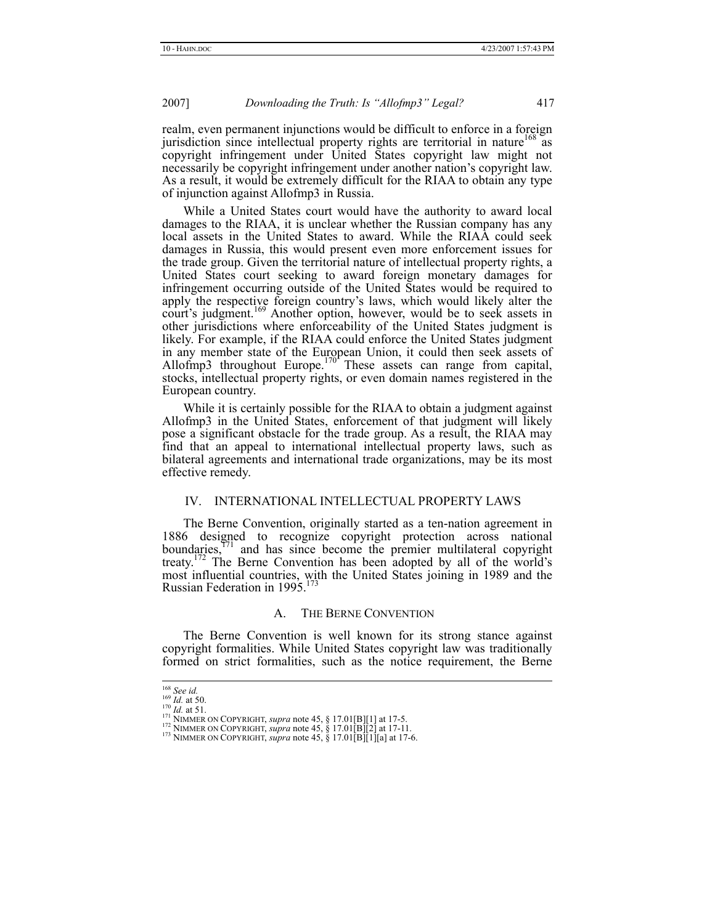realm, even permanent injunctions would be difficult to enforce in a foreign jurisdiction since intellectual property rights are territorial in nature<sup>168</sup> as copyright infringement under United States copyright law might not necessarily be copyright infringement under another nation's copyright law. As a result, it would be extremely difficult for the RIAA to obtain any type of injunction against Allofmp3 in Russia.

While a United States court would have the authority to award local damages to the RIAA, it is unclear whether the Russian company has any local assets in the United States to award. While the RIAA could seek damages in Russia, this would present even more enforcement issues for the trade group. Given the territorial nature of intellectual property rights, a United States court seeking to award foreign monetary damages for infringement occurring outside of the United States would be required to apply the respective foreign country's laws, which would likely alter the court's judgment.<sup>169</sup> Another option, however, would be to seek assets in other jurisdictions where enforceability of the United States judgment is likely. For example, if the RIAA could enforce the United States judgment in any member state of the European Union, it could then seek assets of Allofmp3 throughout Europe.<sup>170</sup> These assets can range from capital, stocks, intellectual property rights, or even domain names registered in the European country.

While it is certainly possible for the RIAA to obtain a judgment against Allofmp3 in the United States, enforcement of that judgment will likely pose a significant obstacle for the trade group. As a result, the RIAA may find that an appeal to international intellectual property laws, such as bilateral agreements and international trade organizations, may be its most effective remedy.

# IV. INTERNATIONAL INTELLECTUAL PROPERTY LAWS

The Berne Convention, originally started as a ten-nation agreement in 1886 designed to recognize copyright protection across national boundaries, $171$  and has since become the premier multilateral copyright treaty.172 The Berne Convention has been adopted by all of the world's most influential countries, with the United States joining in 1989 and the Russian Federation in 1995.<sup>173</sup>

#### A. THE BERNE CONVENTION

The Berne Convention is well known for its strong stance against copyright formalities. While United States copyright law was traditionally formed on strict formalities, such as the notice requirement, the Berne

<sup>&</sup>lt;sup>168</sup> *See id.*<br><sup>169</sup> *Id.* at 50.<br><sup>170</sup> *Id.* at 51.<br><sup>171</sup> NIMMER ON COPYRIGHT, *supra* note 45, § 17.01[B][1] at 17-5.<br><sup>171</sup> NIMMER ON COPYRIGHT, *supra* note 45, § 17.01[B][2] at 17-11.<br><sup>173</sup> NIMMER ON COPYRIGHT, *supr*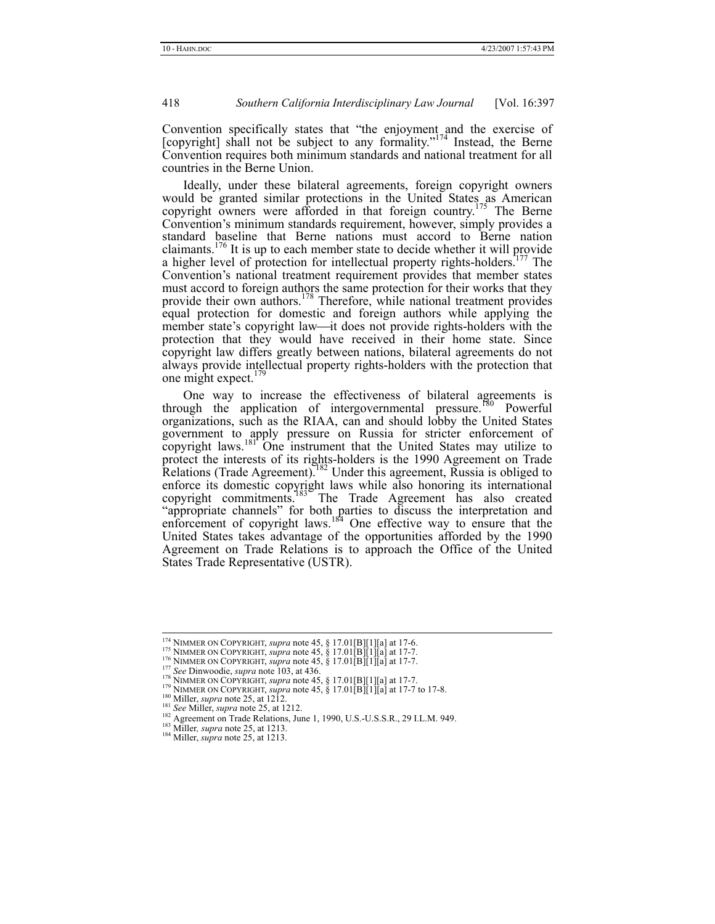Convention specifically states that "the enjoyment and the exercise of [copyright] shall not be subject to any formality."<sup>174</sup> Instead, the Berne Convention requires both minimum standards and national treatment for all countries in the Berne Union.

Ideally, under these bilateral agreements, foreign copyright owners would be granted similar protections in the United States as American copyright owners were afforded in that foreign country.<sup>175</sup> The Berne Convention's minimum standards requirement, however, simply provides a standard baseline that Berne nations must accord to Berne nation claimants.<sup>176</sup> It is up to each member state to decide whether it will provide a higher level of protection for intellectual property rights-holders.<sup>177</sup> The Convention's national treatment requirement provides that member states must accord to foreign authors the same protection for their works that they provide their own authors.<sup>178</sup> Therefore, while national treatment provides equal protection for domestic and foreign authors while applying the member state's copyright law-it does not provide rights-holders with the protection that they would have received in their home state. Since copyright law differs greatly between nations, bilateral agreements do not always provide intellectual property rights-holders with the protection that one might expect.<sup>17</sup>

One way to increase the effectiveness of bilateral agreements is through the application of intergovernmental pressure.<sup>180</sup> Powerful organizations, such as the RIAA, can and should lobby the United States government to apply pressure on Russia for stricter enforcement of copyright laws.<sup>181</sup> One instrument that the United States may utilize to protect the interests of its rights-holders is the 1990 Agreement on Trade Relations (Trade Agreement).<sup>182</sup> Under this agreement, Russia is obliged to enforce its domestic copyright laws while also honoring its international copyright commitments.<sup>183</sup> The Trade Agreement has also created "appropriate channels" for both parties to discuss the interpretation and enforcement of copyright laws.<sup>184</sup> One effective way to ensure that the United States takes advantage of the opportunities afforded by the 1990 Agreement on Trade Relations is to approach the Office of the United States Trade Representative (USTR).

- 
- 
- <sup>174</sup> NIMMER ON COPYRIGHT, *supra* note 45, § 17.01[B][1][a] at 17-6.<br><sup>175</sup> NIMMER ON COPYRIGHT, *supra* note 45, § 17.01[B][1][a] at 17-7.<br><sup>176</sup> NIMMER ON COPYRIGHT, *supra* note 45, § 17.01[B][1][a] at 17-7.<br><sup>177</sup> *See*
- 
- 
- 
-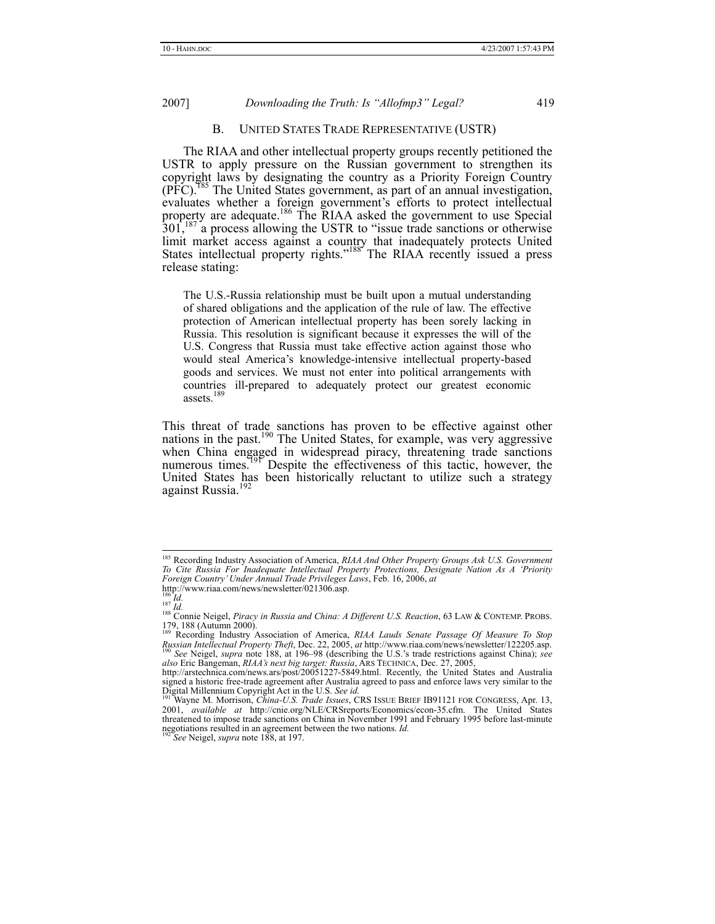#### B. UNITED STATES TRADE REPRESENTATIVE (USTR)

The RIAA and other intellectual property groups recently petitioned the USTR to apply pressure on the Russian government to strengthen its copyright laws by designating the country as a Priority Foreign Country (PFC).185 The United States government, as part of an annual investigation, evaluates whether a foreign government's efforts to protect intellectual property are adequate.<sup>186</sup> The RIAA asked the government to use Special 301,<sup>187</sup> a process allowing the USTR to "issue trade sanctions or otherwise" limit market access against a country that inadequately protects United States intellectual property rights."<sup>188</sup> The RIAA recently issued a press release stating:

The U.S.-Russia relationship must be built upon a mutual understanding of shared obligations and the application of the rule of law. The effective protection of American intellectual property has been sorely lacking in Russia. This resolution is significant because it expresses the will of the U.S. Congress that Russia must take effective action against those who would steal America's knowledge-intensive intellectual property-based goods and services. We must not enter into political arrangements with countries ill-prepared to adequately protect our greatest economic assets.<sup>189</sup>

This threat of trade sanctions has proven to be effective against other nations in the past.<sup>190</sup> The United States, for example, was very aggressive when China engaged in widespread piracy, threatening trade sanctions numerous times.<sup>191</sup> Despite the effectiveness of this tactic, however, the United States has been historically reluctant to utilize such a strategy against Russia.<sup>192</sup>

 <sup>185</sup> Recording Industry Association of America, *RIAA And Other Property Groups Ask U.S. Government To Cite Russia For Inadequate Intellectual Property Protections, Designate Nation As A 'Priority Foreign Country' Under Annual Trade Privileges Laws*, Feb. 16, 2006, *at* 

http://www.riaa.com/news/newsletter/021306.asp.

<sup>186</sup> *Id.*<br><sup>187</sup> *Id.*<br><sup>187</sup> *Id.* 188 Connie Neigel, *Piracy in Russia and China: A Different U.S. Reaction*, 63 LAW & CONTEMP. PROBS. 179, 188 (Autumn 2000). 189 Recording Industry Association of America, *RIAA Lauds Senate Passage Of Measure To Stop* 

Russian Intellectual Property Theft, Dec. 22, 2005, at http://www.riaa.com/news/newsletter/122205.asp.<br><sup>190</sup> See Neigel, *supra* note 188, at 196–98 (describing the U.S.'s trade restrictions against China); see *also See Neigel, supra note 188, at 196–98 (describing the U.S.'s trade restrictions against China); see also Eric Bangeman, <i>RIAA's next big target: Russia*, ARS TECHNICA, Dec. 27, 2005,

http://arstechnica.com/news.ars/post/20051227-5849.html. Recently, the United States and Australia signed a historic free-trade agreement after Australia agreed to pass and enforce laws very similar to the Digital Millennium Copyright Act in the U.S. *See id.* 191 Wayne M. Morrison, *China-U.S. Trade Issues*, CRS ISSUE BRIEF IB91121 FOR CONGRESS, Apr. 13,

<sup>2001,</sup> *available at* http://cnie.org/NLE/CRSreports/Economics/econ-35.cfm. The United States threatened to impose trade sanctions on China in November 1991 and February 1995 before last-minute negotiations resulted in an agreement between the two nations. *Id.* <sup>192</sup> *See* Neigel, *supra* note 188, at 197.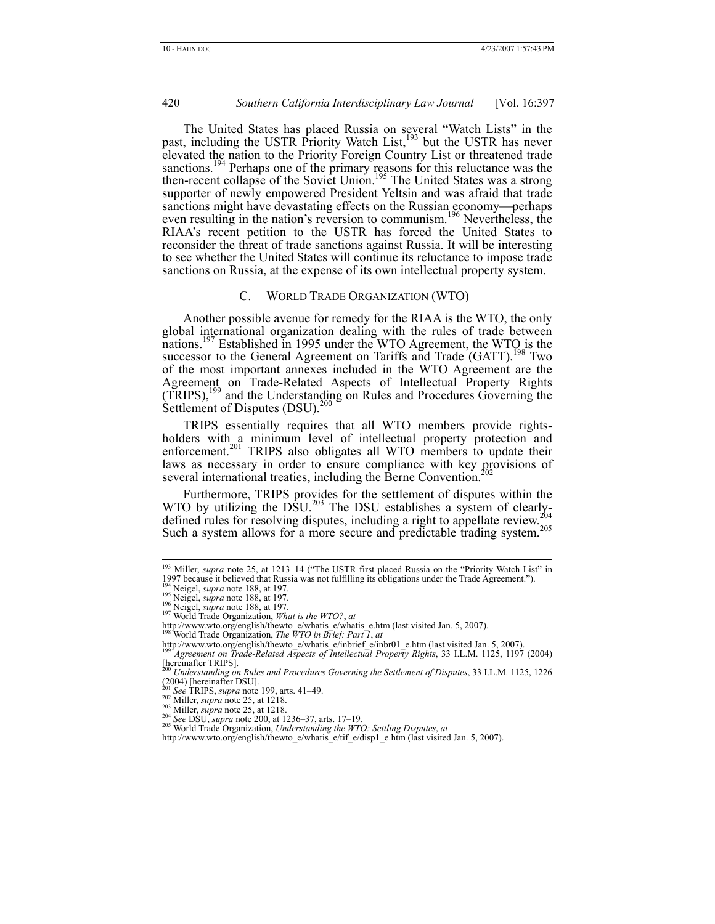The United States has placed Russia on several "Watch Lists" in the past, including the USTR Priority Watch List,<sup>193</sup> but the USTR has never elevated the nation to the Priority Foreign Country List or threatened trade sanctions.<sup>194</sup> Perhaps one of the primary reasons for this reluctance was the then-recent collapse of the Soviet Union.<sup>195</sup> The United States was a strong supporter of newly empowered President Yeltsin and was afraid that trade sanctions might have devastating effects on the Russian economy—perhaps even resulting in the nation's reversion to communism.<sup>196</sup> Nevertheless, the RIAA's recent petition to the USTR has forced the United States to reconsider the threat of trade sanctions against Russia. It will be interesting to see whether the United States will continue its reluctance to impose trade sanctions on Russia, at the expense of its own intellectual property system.

#### C. WORLD TRADE ORGANIZATION (WTO)

Another possible avenue for remedy for the RIAA is the WTO, the only global international organization dealing with the rules of trade between nations.<sup>197</sup> Established in 1995 under the WTO Agreement, the WTO is the successor to the General Agreement on Tariffs and Trade (GATT).<sup>198</sup> Two of the most important annexes included in the WTO Agreement are the Agreement on Trade-Related Aspects of Intellectual Property Rights (TRIPS),199 and the Understanding on Rules and Procedures Governing the Settlement of Disputes  $(DSU)<sup>200</sup>$ 

TRIPS essentially requires that all WTO members provide rightsholders with a minimum level of intellectual property protection and enforcement.<sup>201</sup> TRIPS also obligates all WTO members to update their laws as necessary in order to ensure compliance with key provisions of several international treaties, including the Berne Convention.

Furthermore, TRIPS provides for the settlement of disputes within the WTO by utilizing the DSU.<sup>203</sup> The DSU establishes a system of clearlydefined rules for resolving disputes, including a right to appellate review. Such a system allows for a more secure and predictable trading system.<sup>205</sup>

<sup>&</sup>lt;sup>193</sup> Miller, *supra* note 25, at 1213-14 ("The USTR first placed Russia on the "Priority Watch List" in 1997 because it believed that Russia was not fulfilling its obligations under the Trade Agreement.").<br><sup>194</sup> Neigel, *supra* note 188, at 197.<br><sup>196</sup> Neigel, *supra* note 188, at 197.<br><sup>196</sup> Neigel, *supra* note 188, at 197.

http://www.wto.org/english/thewto\_e/whatis\_e/whatis\_e.htm (last visited Jan. 5, 2007). 198 World Trade Organization, *The WTO in Brief: Part 1*, *at*

http://www.wto.org/english/thewto\_e/whatis\_e/inbrief\_e/inbr01\_e.htm (last visited Jan. 5, 2007). 199 *Agreement on Trade-Related Aspects of Intellectual Property Rights*, 33 I.L.M. 1125, 1197 (2004)

<sup>&</sup>lt;sup>199</sup> Agreement on Trade-Related Aspects of Intellectual Property Rights, 33 I.L.M. 1125, 1197 (2004)<br>[hereinafter TRIPS].

<sup>200</sup> *Understanding on Rules and Procedures Governing the Settlement of Disputes*, 33 I.L.M. 1125, 1226 (2004) [hereinafter DSU].<br>
<sup>201</sup> *See* TRIPS, *supra* note 199, arts. 41–49.<br>
<sup>202</sup> Miller, *supra* note 25, at 1218.

<sup>203</sup> Miller, *supra* note 25, at 1218.<br>
<sup>204</sup> *See DSU, supra* note 25, at 1218.<br>
<sup>204</sup> *See DSU, supra* note 200, at 1236–37, arts. 17–19.<br>
<sup>205</sup> World Trade Organization, *Understanding the WTO: Settling Disputes, at* 

http://www.wto.org/english/thewto\_e/whatis\_e/tif\_e/disp1\_e.htm (last visited Jan. 5, 2007).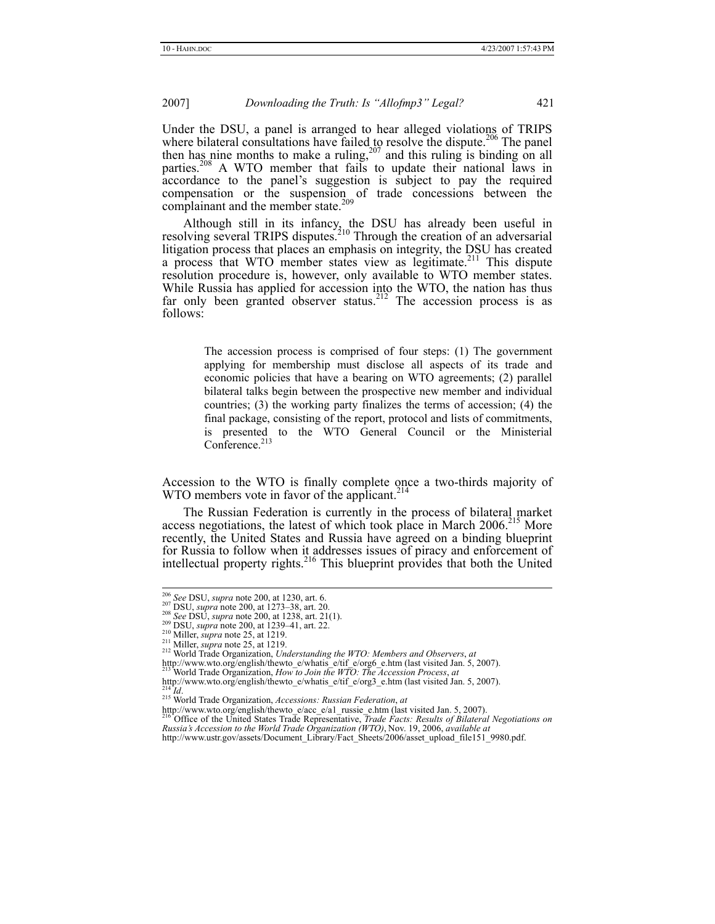Under the DSU, a panel is arranged to hear alleged violations of TRIPS where bilateral consultations have failed to resolve the dispute.<sup>206</sup> The panel then has nine months to make a ruling,<sup>207</sup> and this ruling is binding on all parties.<sup>208</sup> A WTO member that fails to update their national laws in accordance to the panel's suggestion is subject to pay the required compensation or the suspension of trade concessions between the complainant and the member state.<sup>209</sup>

Although still in its infancy, the DSU has already been useful in resolving several TRIPS disputes.<sup>210</sup> Through the creation of an adversarial litigation process that places an emphasis on integrity, the DSU has created a process that WTO member states view as legitimate.<sup>211</sup> This dispute resolution procedure is, however, only available to WTO member states. While Russia has applied for accession into the WTO, the nation has thus far only been granted observer status.<sup>212</sup> The accession process is as follows:

> The accession process is comprised of four steps: (1) The government applying for membership must disclose all aspects of its trade and economic policies that have a bearing on WTO agreements; (2) parallel bilateral talks begin between the prospective new member and individual countries; (3) the working party finalizes the terms of accession; (4) the final package, consisting of the report, protocol and lists of commitments, is presented to the WTO General Council or the Ministerial Conference.<sup>213</sup>

Accession to the WTO is finally complete once a two-thirds majority of WTO members vote in favor of the applicant.<sup>214</sup>

The Russian Federation is currently in the process of bilateral market access negotiations, the latest of which took place in March 2006.<sup>215</sup> More recently, the United States and Russia have agreed on a binding blueprint for Russia to follow when it addresses issues of piracy and enforcement of intellectual property rights.<sup>216</sup> This blueprint provides that both the United

http://www.wto.org/english/thewto\_e/whatis\_e/tif\_e/org6\_e.htm (last visited Jan. 5, 2007). 213 World Trade Organization, *How to Join the WTO: The Accession Process*, *at*

<sup>&</sup>lt;sup>206</sup> See DSU, *supra* note 200, at 1230, art. 6.<br><sup>206</sup> DSU, *supra* note 200, at 1273–38, art. 20.<br><sup>208</sup> See DSU, *supra* note 200, at 1238, art. 21(1).<br><sup>209</sup> DSU, *supra* note 25, at 1239–41, art. 22.<br><sup>210</sup> Miller, *supr* 

http://www.wto.org/english/thewto\_e/whatis\_e/tif\_e/org3\_e.htm (last visited Jan. 5, 2007).<br>
<sup>214</sup> *Id.* 215 World Trade Organization, *Accessions: Russian Federation*, *at*<br>
<sup>215</sup> World Trade Organization, *Accessions: Rus* 

http://www.wto.org/english/thewto\_e/acc\_e/a1\_russie\_e.htm (last visited Jan. 5, 2007). <sup>216</sup> Office of the United States Trade Representative, *Trade Facts: Results of Bilateral Negotiations on Russia's Accession to the World Trade Organization (WTO)*, Nov. 19, 2006, *available at* http://www.ustr.gov/assets/Document\_Library/Fact\_Sheets/2006/asset\_upload\_file151\_9980.pdf.